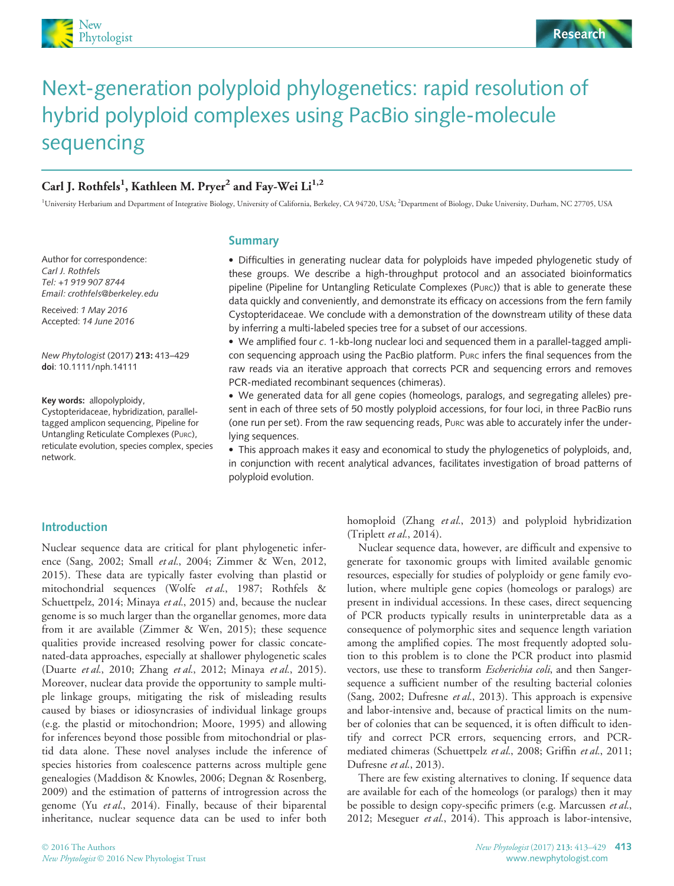

# Next-generation polyploid phylogenetics: rapid resolution of hybrid polyploid complexes using PacBio single-molecule sequencing

# Carl J. Rothfels<sup>1</sup>, Kathleen M. Pryer<sup>2</sup> and Fay-Wei Li<sup>1,2</sup>

<sup>1</sup>University Herbarium and Department of Integrative Biology, University of California, Berkeley, CA 94720, USA; <sup>2</sup>Department of Biology, Duke University, Durham, NC 27705, USA

#### **Summary**

Author for correspondence: Carl J. Rothfels Tel: +1 919 907 8744 Email: crothfels@berkeley.edu

Received: 1 May 2016 Accepted: 14 June 2016

New Phytologist (2017) 213: 413–429 doi: 10.1111/nph.14111

Key words: allopolyploidy,

Cystopteridaceae, hybridization, paralleltagged amplicon sequencing, Pipeline for Untangling Reticulate Complexes (PURC), reticulate evolution, species complex, species network.

 Difficulties in generating nuclear data for polyploids have impeded phylogenetic study of these groups. We describe a high-throughput protocol and an associated bioinformatics pipeline (Pipeline for Untangling Reticulate Complexes (PURC)) that is able to generate these data quickly and conveniently, and demonstrate its efficacy on accessions from the fern family Cystopteridaceae. We conclude with a demonstration of the downstream utility of these data by inferring a multi-labeled species tree for a subset of our accessions.

 We amplified four c. 1-kb-long nuclear loci and sequenced them in a parallel-tagged amplicon sequencing approach using the PacBio platform. Purc infers the final sequences from the raw reads via an iterative approach that corrects PCR and sequencing errors and removes PCR-mediated recombinant sequences (chimeras).

 We generated data for all gene copies (homeologs, paralogs, and segregating alleles) present in each of three sets of 50 mostly polyploid accessions, for four loci, in three PacBio runs (one run per set). From the raw sequencing reads, Purc was able to accurately infer the underlying sequences.

 This approach makes it easy and economical to study the phylogenetics of polyploids, and, in conjunction with recent analytical advances, facilitates investigation of broad patterns of polyploid evolution.

#### Introduction

Nuclear sequence data are critical for plant phylogenetic inference (Sang, 2002; Small et al., 2004; Zimmer & Wen, 2012, 2015). These data are typically faster evolving than plastid or mitochondrial sequences (Wolfe et al., 1987; Rothfels & Schuettpelz, 2014; Minaya et al., 2015) and, because the nuclear genome is so much larger than the organellar genomes, more data from it are available (Zimmer & Wen, 2015); these sequence qualities provide increased resolving power for classic concatenated-data approaches, especially at shallower phylogenetic scales (Duarte et al., 2010; Zhang et al., 2012; Minaya et al., 2015). Moreover, nuclear data provide the opportunity to sample multiple linkage groups, mitigating the risk of misleading results caused by biases or idiosyncrasies of individual linkage groups (e.g. the plastid or mitochondrion; Moore, 1995) and allowing for inferences beyond those possible from mitochondrial or plastid data alone. These novel analyses include the inference of species histories from coalescence patterns across multiple gene genealogies (Maddison & Knowles, 2006; Degnan & Rosenberg, 2009) and the estimation of patterns of introgression across the genome (Yu et al., 2014). Finally, because of their biparental inheritance, nuclear sequence data can be used to infer both homoploid (Zhang et al., 2013) and polyploid hybridization (Triplett *et al.*, 2014).

Nuclear sequence data, however, are difficult and expensive to generate for taxonomic groups with limited available genomic resources, especially for studies of polyploidy or gene family evolution, where multiple gene copies (homeologs or paralogs) are present in individual accessions. In these cases, direct sequencing of PCR products typically results in uninterpretable data as a consequence of polymorphic sites and sequence length variation among the amplified copies. The most frequently adopted solution to this problem is to clone the PCR product into plasmid vectors, use these to transform *Escherichia coli*, and then Sangersequence a sufficient number of the resulting bacterial colonies (Sang, 2002; Dufresne et al., 2013). This approach is expensive and labor-intensive and, because of practical limits on the number of colonies that can be sequenced, it is often difficult to identify and correct PCR errors, sequencing errors, and PCRmediated chimeras (Schuettpelz et al., 2008; Griffin et al., 2011; Dufresne et al., 2013).

There are few existing alternatives to cloning. If sequence data are available for each of the homeologs (or paralogs) then it may be possible to design copy-specific primers (e.g. Marcussen et al., 2012; Meseguer et al., 2014). This approach is labor-intensive,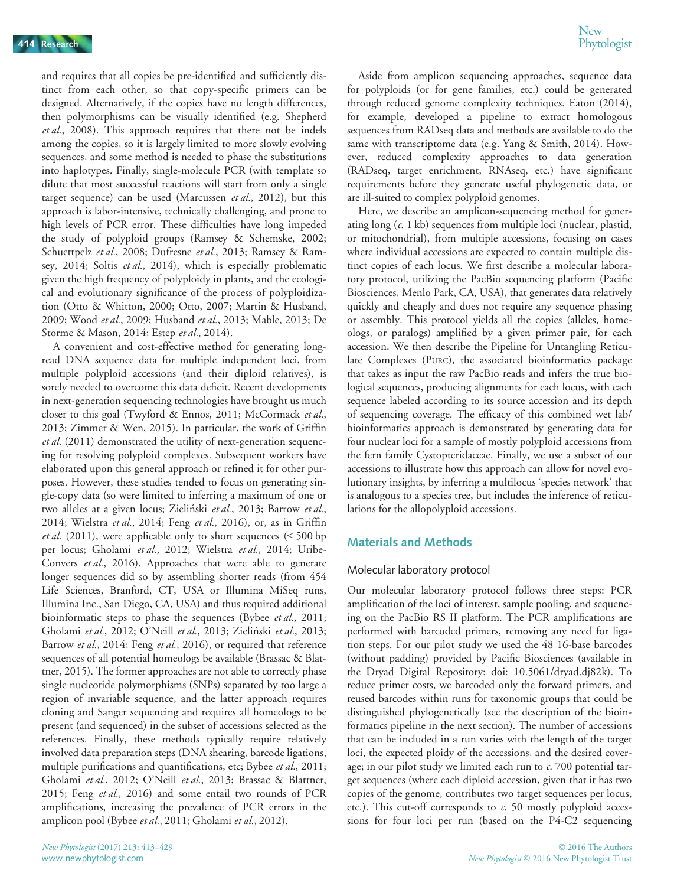and requires that all copies be pre-identified and sufficiently distinct from each other, so that copy-specific primers can be designed. Alternatively, if the copies have no length differences, then polymorphisms can be visually identified (e.g. Shepherd et al., 2008). This approach requires that there not be indels among the copies, so it is largely limited to more slowly evolving sequences, and some method is needed to phase the substitutions into haplotypes. Finally, single-molecule PCR (with template so dilute that most successful reactions will start from only a single target sequence) can be used (Marcussen *et al.*, 2012), but this approach is labor-intensive, technically challenging, and prone to high levels of PCR error. These difficulties have long impeded the study of polyploid groups (Ramsey & Schemske, 2002; Schuettpelz et al., 2008; Dufresne et al., 2013; Ramsey & Ramsey, 2014; Soltis et al., 2014), which is especially problematic given the high frequency of polyploidy in plants, and the ecological and evolutionary significance of the process of polyploidization (Otto & Whitton, 2000; Otto, 2007; Martin & Husband, 2009; Wood et al., 2009; Husband et al., 2013; Mable, 2013; De Storme & Mason, 2014; Estep et al., 2014).

A convenient and cost-effective method for generating longread DNA sequence data for multiple independent loci, from multiple polyploid accessions (and their diploid relatives), is sorely needed to overcome this data deficit. Recent developments in next-generation sequencing technologies have brought us much closer to this goal (Twyford & Ennos, 2011; McCormack et al., 2013; Zimmer & Wen, 2015). In particular, the work of Griffin et al. (2011) demonstrated the utility of next-generation sequencing for resolving polyploid complexes. Subsequent workers have elaborated upon this general approach or refined it for other purposes. However, these studies tended to focus on generating single-copy data (so were limited to inferring a maximum of one or two alleles at a given locus; Zieliński et al., 2013; Barrow et al., 2014; Wielstra et al., 2014; Feng et al., 2016), or, as in Griffin *et al.* (2011), were applicable only to short sequences  $\leq 500$  bp per locus; Gholami et al., 2012; Wielstra et al., 2014; Uribe-Convers et al., 2016). Approaches that were able to generate longer sequences did so by assembling shorter reads (from 454 Life Sciences, Branford, CT, USA or Illumina MiSeq runs, Illumina Inc., San Diego, CA, USA) and thus required additional bioinformatic steps to phase the sequences (Bybee et al., 2011; Gholami et al., 2012; O'Neill et al., 2013; Zielinski et al., 2013; Barrow et al., 2014; Feng et al., 2016), or required that reference sequences of all potential homeologs be available (Brassac & Blattner, 2015). The former approaches are not able to correctly phase single nucleotide polymorphisms (SNPs) separated by too large a region of invariable sequence, and the latter approach requires cloning and Sanger sequencing and requires all homeologs to be present (and sequenced) in the subset of accessions selected as the references. Finally, these methods typically require relatively involved data preparation steps (DNA shearing, barcode ligations, multiple purifications and quantifications, etc; Bybee et al., 2011; Gholami et al., 2012; O'Neill et al., 2013; Brassac & Blattner, 2015; Feng et al., 2016) and some entail two rounds of PCR amplifications, increasing the prevalence of PCR errors in the amplicon pool (Bybee et al., 2011; Gholami et al., 2012).

Aside from amplicon sequencing approaches, sequence data for polyploids (or for gene families, etc.) could be generated through reduced genome complexity techniques. Eaton (2014), for example, developed a pipeline to extract homologous sequences from RADseq data and methods are available to do the same with transcriptome data (e.g. Yang & Smith, 2014). However, reduced complexity approaches to data generation (RADseq, target enrichment, RNAseq, etc.) have significant requirements before they generate useful phylogenetic data, or are ill-suited to complex polyploid genomes.

Here, we describe an amplicon-sequencing method for generating long  $(c. 1 \text{ kb})$  sequences from multiple loci (nuclear, plastid, or mitochondrial), from multiple accessions, focusing on cases where individual accessions are expected to contain multiple distinct copies of each locus. We first describe a molecular laboratory protocol, utilizing the PacBio sequencing platform (Pacific Biosciences, Menlo Park, CA, USA), that generates data relatively quickly and cheaply and does not require any sequence phasing or assembly. This protocol yields all the copies (alleles, homeologs, or paralogs) amplified by a given primer pair, for each accession. We then describe the Pipeline for Untangling Reticulate Complexes (PURC), the associated bioinformatics package that takes as input the raw PacBio reads and infers the true biological sequences, producing alignments for each locus, with each sequence labeled according to its source accession and its depth of sequencing coverage. The efficacy of this combined wet lab/ bioinformatics approach is demonstrated by generating data for four nuclear loci for a sample of mostly polyploid accessions from the fern family Cystopteridaceae. Finally, we use a subset of our accessions to illustrate how this approach can allow for novel evolutionary insights, by inferring a multilocus 'species network' that is analogous to a species tree, but includes the inference of reticulations for the allopolyploid accessions.

## Materials and Methods

#### Molecular laboratory protocol

Our molecular laboratory protocol follows three steps: PCR amplification of the loci of interest, sample pooling, and sequencing on the PacBio RS II platform. The PCR amplifications are performed with barcoded primers, removing any need for ligation steps. For our pilot study we used the 48 16-base barcodes (without padding) provided by Pacific Biosciences (available in the Dryad Digital Repository: doi: [10.5061/dryad.dj82k](http://dx.doi.org/10.5061/dryad.dj82k)). To reduce primer costs, we barcoded only the forward primers, and reused barcodes within runs for taxonomic groups that could be distinguished phylogenetically (see the description of the bioinformatics pipeline in the next section). The number of accessions that can be included in a run varies with the length of the target loci, the expected ploidy of the accessions, and the desired coverage; in our pilot study we limited each run to  $c$ . 700 potential target sequences (where each diploid accession, given that it has two copies of the genome, contributes two target sequences per locus, etc.). This cut-off corresponds to  $c$ . 50 mostly polyploid accessions for four loci per run (based on the P4-C2 sequencing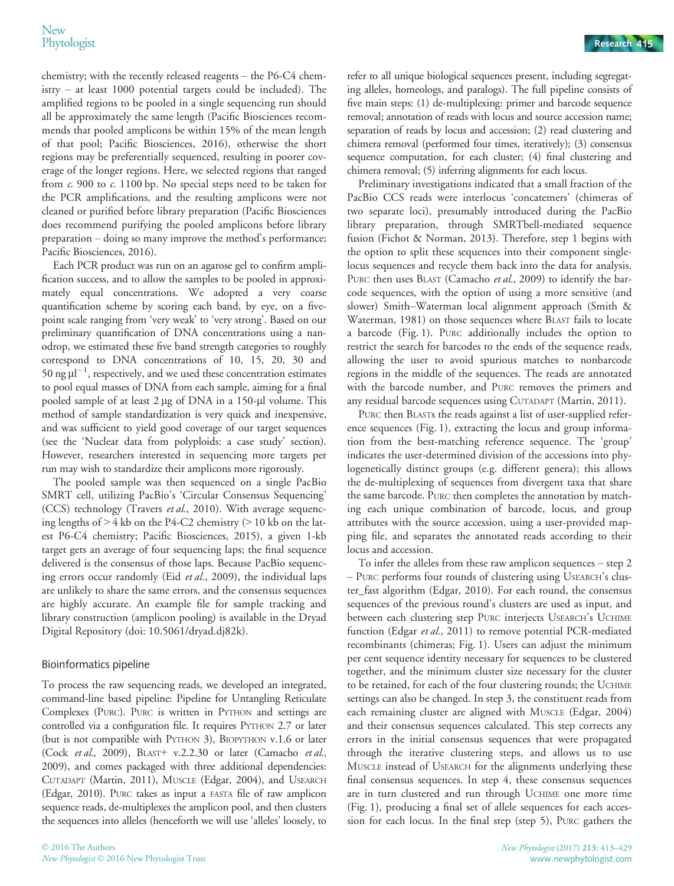chemistry; with the recently released reagents – the P6-C4 chemistry – at least 1000 potential targets could be included). The amplified regions to be pooled in a single sequencing run should all be approximately the same length (Pacific Biosciences recommends that pooled amplicons be within 15% of the mean length of that pool; Pacific Biosciences, 2016), otherwise the short regions may be preferentially sequenced, resulting in poorer coverage of the longer regions. Here, we selected regions that ranged from c. 900 to c. 1100 bp. No special steps need to be taken for the PCR amplifications, and the resulting amplicons were not cleaned or purified before library preparation (Pacific Biosciences does recommend purifying the pooled amplicons before library preparation – doing so many improve the method's performance; Pacific Biosciences, 2016).

Each PCR product was run on an agarose gel to confirm amplification success, and to allow the samples to be pooled in approximately equal concentrations. We adopted a very coarse quantification scheme by scoring each band, by eye, on a fivepoint scale ranging from 'very weak' to 'very strong'. Based on our preliminary quantification of DNA concentrations using a nanodrop, we estimated these five band strength categories to roughly correspond to DNA concentrations of 10, 15, 20, 30 and 50 ng  $\mu$ l<sup>-1</sup>, respectively, and we used these concentration estimates to pool equal masses of DNA from each sample, aiming for a final pooled sample of at least  $2 \mu$ g of DNA in a 150- $\mu$ l volume. This method of sample standardization is very quick and inexpensive, and was sufficient to yield good coverage of our target sequences (see the 'Nuclear data from polyploids: a case study' section). However, researchers interested in sequencing more targets per run may wish to standardize their amplicons more rigorously.

The pooled sample was then sequenced on a single PacBio SMRT cell, utilizing PacBio's 'Circular Consensus Sequencing' (CCS) technology (Travers et al., 2010). With average sequencing lengths of  $> 4$  kb on the P4-C2 chemistry ( $> 10$  kb on the latest P6-C4 chemistry; Pacific Biosciences, 2015), a given 1-kb target gets an average of four sequencing laps; the final sequence delivered is the consensus of those laps. Because PacBio sequencing errors occur randomly (Eid et al., 2009), the individual laps are unlikely to share the same errors, and the consensus sequences are highly accurate. An example file for sample tracking and library construction (amplicon pooling) is available in the Dryad Digital Repository (doi: [10.5061/dryad.dj82k\)](http://dx.doi.org/10.5061/dryad.dj82k).

## Bioinformatics pipeline

To process the raw sequencing reads, we developed an integrated, command-line based pipeline: Pipeline for Untangling Reticulate Complexes (PURC). PURC is written in PYTHON and settings are controlled via a configuration file. It requires PYTHON 2.7 or later (but is not compatible with PYTHON 3), BIOPYTHON v.1.6 or later (Cock et al., 2009), BLAST+ v.2.2.30 or later (Camacho et al., 2009), and comes packaged with three additional dependencies: CUTADAPT (Martin, 2011), MUSCLE (Edgar, 2004), and USEARCH (Edgar, 2010). PURC takes as input a FASTA file of raw amplicon sequence reads, de-multiplexes the amplicon pool, and then clusters the sequences into alleles (henceforth we will use 'alleles' loosely, to

refer to all unique biological sequences present, including segregating alleles, homeologs, and paralogs). The full pipeline consists of five main steps: (1) de-multiplexing: primer and barcode sequence removal; annotation of reads with locus and source accession name; separation of reads by locus and accession; (2) read clustering and chimera removal (performed four times, iteratively); (3) consensus sequence computation, for each cluster; (4) final clustering and chimera removal; (5) inferring alignments for each locus.

Preliminary investigations indicated that a small fraction of the PacBio CCS reads were interlocus 'concatemers' (chimeras of two separate loci), presumably introduced during the PacBio library preparation, through SMRTbell-mediated sequence fusion (Fichot & Norman, 2013). Therefore, step 1 begins with the option to split these sequences into their component singlelocus sequences and recycle them back into the data for analysis. PURC then uses BLAST (Camacho et al., 2009) to identify the barcode sequences, with the option of using a more sensitive (and slower) Smith–Waterman local alignment approach (Smith & Waterman, 1981) on those sequences where BLAST fails to locate a barcode (Fig. 1). PURC additionally includes the option to restrict the search for barcodes to the ends of the sequence reads, allowing the user to avoid spurious matches to nonbarcode regions in the middle of the sequences. The reads are annotated with the barcode number, and PURC removes the primers and any residual barcode sequences using CUTADAPT (Martin, 2011).

PURC then BLASTs the reads against a list of user-supplied reference sequences (Fig. 1), extracting the locus and group information from the best-matching reference sequence. The 'group' indicates the user-determined division of the accessions into phylogenetically distinct groups (e.g. different genera); this allows the de-multiplexing of sequences from divergent taxa that share the same barcode. PURC then completes the annotation by matching each unique combination of barcode, locus, and group attributes with the source accession, using a user-provided mapping file, and separates the annotated reads according to their locus and accession.

To infer the alleles from these raw amplicon sequences – step 2 – PURC performs four rounds of clustering using USEARCH's cluster\_fast algorithm (Edgar, 2010). For each round, the consensus sequences of the previous round's clusters are used as input, and between each clustering step PURC interjects USEARCH's UCHIME function (Edgar et al., 2011) to remove potential PCR-mediated recombinants (chimeras; Fig. 1). Users can adjust the minimum per cent sequence identity necessary for sequences to be clustered together, and the minimum cluster size necessary for the cluster to be retained, for each of the four clustering rounds; the UCHIME settings can also be changed. In step 3, the constituent reads from each remaining cluster are aligned with MUSCLE (Edgar, 2004) and their consensus sequences calculated. This step corrects any errors in the initial consensus sequences that were propagated through the iterative clustering steps, and allows us to use MUSCLE instead of USEARCH for the alignments underlying these final consensus sequences. In step 4, these consensus sequences are in turn clustered and run through UCHIME one more time (Fig. 1), producing a final set of allele sequences for each accession for each locus. In the final step (step 5), PURC gathers the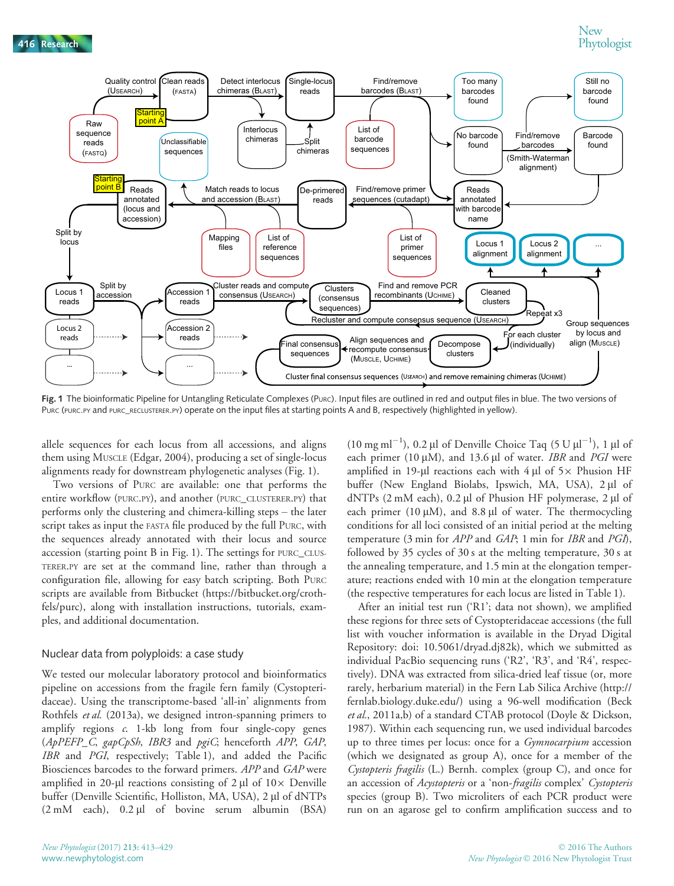

Fig. 1 The bioinformatic Pipeline for Untangling Reticulate Complexes (PuRc). Input files are outlined in red and output files in blue. The two versions of PURC (PURC.PY and PURC\_RECLUSTERER.PY) operate on the input files at starting points A and B, respectively (highlighted in yellow).

allele sequences for each locus from all accessions, and aligns them using MUSCLE (Edgar, 2004), producing a set of single-locus alignments ready for downstream phylogenetic analyses (Fig. 1).

Two versions of PURC are available: one that performs the entire workflow (PURC.PY), and another (PURC\_CLUSTERER.PY) that performs only the clustering and chimera-killing steps – the later script takes as input the FASTA file produced by the full PURC, with the sequences already annotated with their locus and source accession (starting point B in Fig. 1). The settings for PURC\_CLUS-TERER.PY are set at the command line, rather than through a configuration file, allowing for easy batch scripting. Both PURC scripts are available from Bitbucket ([https://bitbucket.org/croth](https://bitbucket.org/crothfels/purc)[fels/purc](https://bitbucket.org/crothfels/purc)), along with installation instructions, tutorials, examples, and additional documentation.

#### Nuclear data from polyploids: a case study

We tested our molecular laboratory protocol and bioinformatics pipeline on accessions from the fragile fern family (Cystopteridaceae). Using the transcriptome-based 'all-in' alignments from Rothfels et al. (2013a), we designed intron-spanning primers to amplify regions  $c$ . 1-kb long from four single-copy genes (ApPEFP\_C, gapCpSh, IBR3 and pgiC; henceforth APP, GAP, IBR and PGI, respectively; Table 1), and added the Pacific Biosciences barcodes to the forward primers. APP and GAP were amplified in 20-µl reactions consisting of  $2 \mu$ l of  $10 \times$  Denville buffer (Denville Scientific, Holliston, MA, USA), 2 µl of dNTPs  $(2 \text{ mM } \text{each})$ ,  $0.2 \mu l$  of bovine serum albumin (BSA)

(10 mg ml<sup>-1</sup>), 0.2 µl of Denville Choice Taq (5 U  $\mu$ l<sup>-1</sup>), 1 µl of each primer (10  $\mu$ M), and 13.6  $\mu$ l of water. *IBR* and *PGI* were amplified in 19-µl reactions each with  $4 \mu$ l of  $5 \times$  Phusion HF buffer (New England Biolabs, Ipswich, MA, USA), 2 µl of dNTPs  $(2 \text{ mM each})$ ,  $0.2 \mu$ l of Phusion HF polymerase,  $2 \mu$ l of each primer (10  $\mu$ M), and 8.8  $\mu$ l of water. The thermocycling conditions for all loci consisted of an initial period at the melting temperature (3 min for  $APP$  and  $GAP$ ; 1 min for  $IBR$  and  $PGI$ ), followed by 35 cycles of 30 s at the melting temperature, 30 s at the annealing temperature, and 1.5 min at the elongation temperature; reactions ended with 10 min at the elongation temperature (the respective temperatures for each locus are listed in Table 1).

After an initial test run ('R1'; data not shown), we amplified these regions for three sets of Cystopteridaceae accessions (the full list with voucher information is available in the Dryad Digital Repository: doi: [10.5061/dryad.dj82k\)](http://dx.doi.org/10.5061/dryad.dj82k), which we submitted as individual PacBio sequencing runs ('R2', 'R3', and 'R4', respectively). DNA was extracted from silica-dried leaf tissue (or, more rarely, herbarium material) in the Fern Lab Silica Archive [\(http://](http://fernlab.biology.duke.edu/) [fernlab.biology.duke.edu/](http://fernlab.biology.duke.edu/)) using a 96-well modification (Beck et al., 2011a,b) of a standard CTAB protocol (Doyle & Dickson, 1987). Within each sequencing run, we used individual barcodes up to three times per locus: once for a *Gymnocarpium* accession (which we designated as group A), once for a member of the Cystopteris fragilis (L.) Bernh. complex (group C), and once for an accession of Acystopteris or a 'non-fragilis complex' Cystopteris species (group B). Two microliters of each PCR product were run on an agarose gel to confirm amplification success and to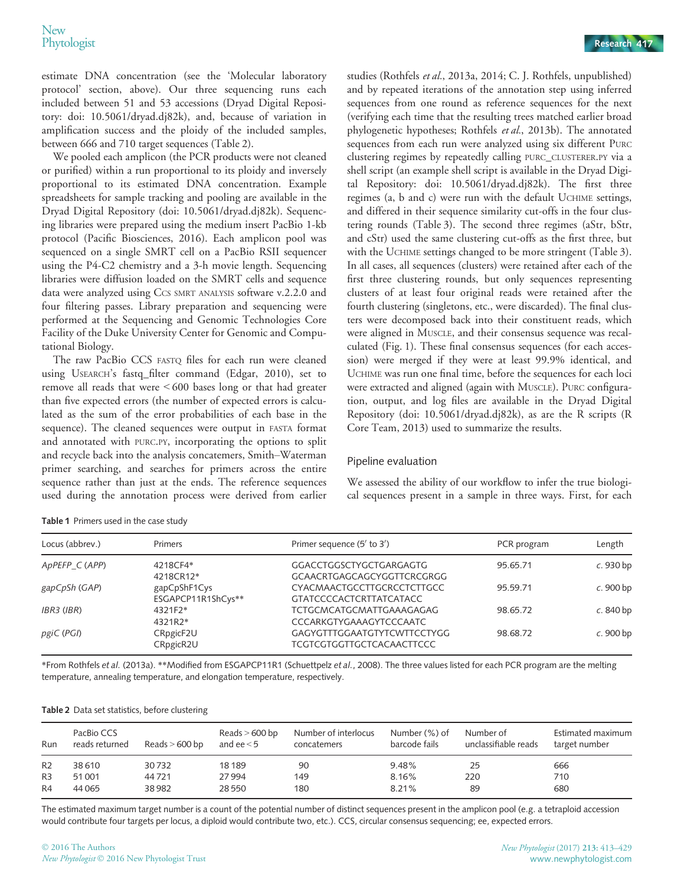estimate DNA concentration (see the 'Molecular laboratory protocol' section, above). Our three sequencing runs each included between 51 and 53 accessions (Dryad Digital Repository: doi: [10.5061/dryad.dj82k](http://dx.doi.org/10.5061/dryad.dj82k)), and, because of variation in amplification success and the ploidy of the included samples, between 666 and 710 target sequences (Table 2).

We pooled each amplicon (the PCR products were not cleaned or purified) within a run proportional to its ploidy and inversely proportional to its estimated DNA concentration. Example spreadsheets for sample tracking and pooling are available in the Dryad Digital Repository (doi: [10.5061/dryad.dj82k](http://dx.doi.org/10.5061/dryad.dj82k)). Sequencing libraries were prepared using the medium insert PacBio 1-kb protocol (Pacific Biosciences, 2016). Each amplicon pool was sequenced on a single SMRT cell on a PacBio RSII sequencer using the P4-C2 chemistry and a 3-h movie length. Sequencing libraries were diffusion loaded on the SMRT cells and sequence data were analyzed using CCS SMRT ANALYSIS software v.2.2.0 and four filtering passes. Library preparation and sequencing were performed at the Sequencing and Genomic Technologies Core Facility of the Duke University Center for Genomic and Computational Biology.

The raw PacBio CCS FASTQ files for each run were cleaned using USEARCH's fastq\_filter command (Edgar, 2010), set to remove all reads that were < 600 bases long or that had greater than five expected errors (the number of expected errors is calculated as the sum of the error probabilities of each base in the sequence). The cleaned sequences were output in FASTA format and annotated with PURC.PY, incorporating the options to split and recycle back into the analysis concatemers, Smith–Waterman primer searching, and searches for primers across the entire sequence rather than just at the ends. The reference sequences used during the annotation process were derived from earlier

studies (Rothfels et al., 2013a, 2014; C. J. Rothfels, unpublished) and by repeated iterations of the annotation step using inferred sequences from one round as reference sequences for the next (verifying each time that the resulting trees matched earlier broad phylogenetic hypotheses; Rothfels et al., 2013b). The annotated sequences from each run were analyzed using six different PURC clustering regimes by repeatedly calling PURC\_CLUSTERER.PY via a shell script (an example shell script is available in the Dryad Digital Repository: doi: [10.5061/dryad.dj82k\)](http://dx.doi.org/10.5061/dryad.dj82k). The first three regimes (a, b and c) were run with the default UCHIME settings, and differed in their sequence similarity cut-offs in the four clustering rounds (Table 3). The second three regimes (aStr, bStr, and cStr) used the same clustering cut-offs as the first three, but with the UCHIME settings changed to be more stringent (Table 3). In all cases, all sequences (clusters) were retained after each of the first three clustering rounds, but only sequences representing clusters of at least four original reads were retained after the fourth clustering (singletons, etc., were discarded). The final clusters were decomposed back into their constituent reads, which were aligned in MUSCLE, and their consensus sequence was recalculated (Fig. 1). These final consensus sequences (for each accession) were merged if they were at least 99.9% identical, and UCHIME was run one final time, before the sequences for each loci were extracted and aligned (again with MUSCLE). PURC configuration, output, and log files are available in the Dryad Digital Repository (doi: [10.5061/dryad.dj82k](http://dx.doi.org/10.5061/dryad.dj82k)), as are the R scripts (R Core Team, 2013) used to summarize the results.

## Pipeline evaluation

We assessed the ability of our workflow to infer the true biological sequences present in a sample in three ways. First, for each

| Locus (abbrev.) | <b>Primers</b>     | Primer sequence (5' to 3')        | PCR program | Length  |
|-----------------|--------------------|-----------------------------------|-------------|---------|
| ApPEFP_C (APP)  | 4218CF4*           | <b>GGACCTGGSCTYGCTGARGAGTG</b>    | 95.65.71    | c.930bp |
|                 | 4218CR12*          | <b>GCAACRTGAGCAGCYGGTTCRCGRGG</b> |             |         |
| gapCpSh (GAP)   | gapCpShF1Cys       | CYACMAACTGCCTTGCRCCTCTTGCC        | 95.59.71    | c.900bp |
|                 | ESGAPCP11R1ShCys** | <b>GTATCCCCACTCRTTATCATACC</b>    |             |         |
| IBR3 (IBR)      | 4321F2*            | TCTGCMCATGCMATTGAAAGAGAG          | 98.65.72    | c.840bp |
|                 | 4321R2*            | CCCARKGTYGAAAGYTCCCAATC           |             |         |
| pgiC (PGI)      | CRpgicF2U          | GAGYGTTTGGAATGTYTCWTTCCTYGG       | 98.68.72    | c.900bp |
|                 | CRpgicR2U          | <b>TCGTCGTGGTTGCTCACAACTTCCC</b>  |             |         |

\*From Rothfels et al. (2013a). \*\*Modified from ESGAPCP11R1 (Schuettpelz et al., 2008). The three values listed for each PCR program are the melting temperature, annealing temperature, and elongation temperature, respectively.

| Run            | PacBio CCS<br>reads returned | Reads > 600 bp | Reads > 600 bp<br>and $ee < 5$ | Number of interlocus<br>concatemers | Number (%) of<br>barcode fails | Number of<br>unclassifiable reads | Estimated maximum<br>target number |
|----------------|------------------------------|----------------|--------------------------------|-------------------------------------|--------------------------------|-----------------------------------|------------------------------------|
| R <sub>2</sub> | 38 610                       | 30732          | 18189                          | 90                                  | 9.48%                          | 25                                | 666                                |
| R <sub>3</sub> | 51 001                       | 44 7 21        | 27994                          | 149                                 | 8.16%                          | 220                               | 710                                |
| R4             | 44 0 65                      | 38982          | 28550                          | 180                                 | 8.21%                          | 89                                | 680                                |

The estimated maximum target number is a count of the potential number of distinct sequences present in the amplicon pool (e.g. a tetraploid accession would contribute four targets per locus, a diploid would contribute two, etc.). CCS, circular consensus sequencing; ee, expected errors.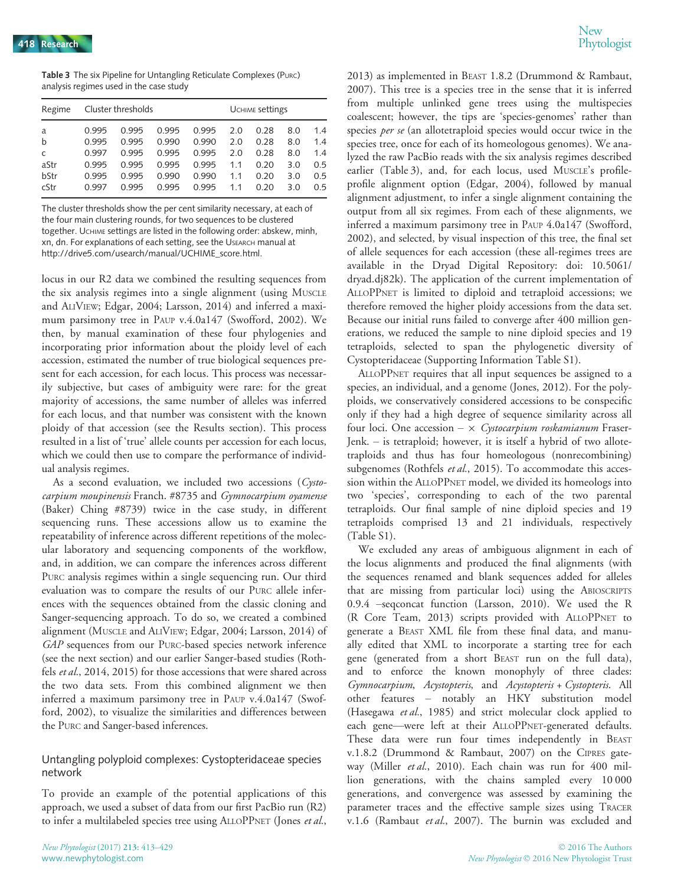| Table 3 The six Pipeline for Untangling Reticulate Complexes (Purc) |  |  |
|---------------------------------------------------------------------|--|--|
| analysis regimes used in the case study                             |  |  |

| Regime | Cluster thresholds |              |       |       | UCHIME settings |      |     |     |
|--------|--------------------|--------------|-------|-------|-----------------|------|-----|-----|
| a      | <u>በ 995</u>       | <u>በ 995</u> | 0.995 | 0.995 | 2.0             | 0.28 | 80  | 14  |
| b      | 0.995              | 0.995        | 0.990 | 0.990 | 2.0             | 0.28 | 8.0 | 14  |
| C      | 0.997              | 0.995        | 0.995 | 0.995 | 2.0             | 0.28 | 8.0 | 14  |
| aStr   | 0.995              | 0.995        | 0.995 | 0.995 | 1.1             | 0.20 | 3.0 | 0.5 |
| bStr   | 0.995              | 0.995        | 0.990 | 0.990 | 1.1             | 0.20 | 3.O | 0.5 |
| cStr   | በ 997              | 0.995        | 0.995 | 0.995 | 11              | 0.20 | 3.O | 0.5 |

The cluster thresholds show the per cent similarity necessary, at each of the four main clustering rounds, for two sequences to be clustered together. UCHIME settings are listed in the following order: abskew, minh, xn, dn. For explanations of each setting, see the USEARCH manual at [http://drive5.com/usearch/manual/UCHIME\\_score.html.](http://drive5.com/usearch/manual/UCHIME_score.html)

locus in our R2 data we combined the resulting sequences from the six analysis regimes into a single alignment (using MUSCLE and ALIVIEW; Edgar, 2004; Larsson, 2014) and inferred a maximum parsimony tree in PAUP v.4.0a147 (Swofford, 2002). We then, by manual examination of these four phylogenies and incorporating prior information about the ploidy level of each accession, estimated the number of true biological sequences present for each accession, for each locus. This process was necessarily subjective, but cases of ambiguity were rare: for the great majority of accessions, the same number of alleles was inferred for each locus, and that number was consistent with the known ploidy of that accession (see the Results section). This process resulted in a list of 'true' allele counts per accession for each locus, which we could then use to compare the performance of individual analysis regimes.

As a second evaluation, we included two accessions (Cystocarpium moupinensis Franch. #8735 and Gymnocarpium oyamense (Baker) Ching #8739) twice in the case study, in different sequencing runs. These accessions allow us to examine the repeatability of inference across different repetitions of the molecular laboratory and sequencing components of the workflow, and, in addition, we can compare the inferences across different PURC analysis regimes within a single sequencing run. Our third evaluation was to compare the results of our PURC allele inferences with the sequences obtained from the classic cloning and Sanger-sequencing approach. To do so, we created a combined alignment (MUSCLE and ALIVIEW; Edgar, 2004; Larsson, 2014) of GAP sequences from our PURC-based species network inference (see the next section) and our earlier Sanger-based studies (Rothfels et al., 2014, 2015) for those accessions that were shared across the two data sets. From this combined alignment we then inferred a maximum parsimony tree in PAUP v.4.0a147 (Swofford, 2002), to visualize the similarities and differences between the PURC and Sanger-based inferences.

# Untangling polyploid complexes: Cystopteridaceae species network

To provide an example of the potential applications of this approach, we used a subset of data from our first PacBio run (R2) to infer a multilabeled species tree using ALLOPPNET (Jones et al.,

2013) as implemented in BEAST 1.8.2 (Drummond & Rambaut, 2007). This tree is a species tree in the sense that it is inferred from multiple unlinked gene trees using the multispecies coalescent; however, the tips are 'species-genomes' rather than species *per se* (an allotetraploid species would occur twice in the species tree, once for each of its homeologous genomes). We analyzed the raw PacBio reads with the six analysis regimes described earlier (Table 3), and, for each locus, used MUSCLE's profileprofile alignment option (Edgar, 2004), followed by manual alignment adjustment, to infer a single alignment containing the output from all six regimes. From each of these alignments, we inferred a maximum parsimony tree in PAUP 4.0a147 (Swofford, 2002), and selected, by visual inspection of this tree, the final set of allele sequences for each accession (these all-regimes trees are available in the Dryad Digital Repository: doi: [10.5061/](http://dx.doi.org/10.5061/dryad.dj82k) [dryad.dj82k](http://dx.doi.org/10.5061/dryad.dj82k)). The application of the current implementation of ALLOPPNET is limited to diploid and tetraploid accessions; we therefore removed the higher ploidy accessions from the data set. Because our initial runs failed to converge after 400 million generations, we reduced the sample to nine diploid species and 19 tetraploids, selected to span the phylogenetic diversity of Cystopteridaceae (Supporting Information Table S1).

ALLOPPNET requires that all input sequences be assigned to a species, an individual, and a genome (Jones, 2012). For the polyploids, we conservatively considered accessions to be conspecific only if they had a high degree of sequence similarity across all four loci. One accession  $-\times$  Cystocarpium roskamianum Fraser-Jenk. – is tetraploid; however, it is itself a hybrid of two allotetraploids and thus has four homeologous (nonrecombining) subgenomes (Rothfels et al., 2015). To accommodate this accession within the ALLOPPNET model, we divided its homeologs into two 'species', corresponding to each of the two parental tetraploids. Our final sample of nine diploid species and 19 tetraploids comprised 13 and 21 individuals, respectively (Table S1).

We excluded any areas of ambiguous alignment in each of the locus alignments and produced the final alignments (with the sequences renamed and blank sequences added for alleles that are missing from particular loci) using the ABIOSCRIPTS 0.9.4 –seqconcat function (Larsson, 2010). We used the R (R Core Team, 2013) scripts provided with ALLOPPNET to generate a BEAST XML file from these final data, and manually edited that XML to incorporate a starting tree for each gene (generated from a short BEAST run on the full data), and to enforce the known monophyly of three clades: Gymnocarpium, Acystopteris, and Acystopteris + Cystopteris. All other features – notably an HKY substitution model (Hasegawa et al., 1985) and strict molecular clock applied to each gene—were left at their ALLOPPNET-generated defaults. These data were run four times independently in BEAST v.1.8.2 (Drummond & Rambaut, 2007) on the CIPRES gateway (Miller et al., 2010). Each chain was run for 400 million generations, with the chains sampled every 10 000 generations, and convergence was assessed by examining the parameter traces and the effective sample sizes using TRACER v.1.6 (Rambaut et al., 2007). The burnin was excluded and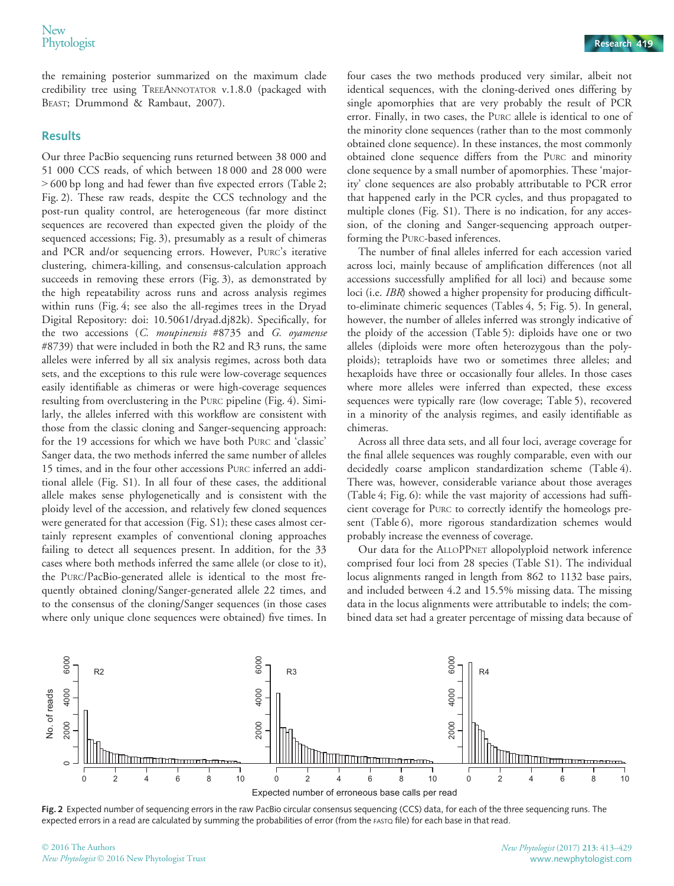the remaining posterior summarized on the maximum clade credibility tree using TREEANNOTATOR v.1.8.0 (packaged with BEAST; Drummond & Rambaut, 2007).

# **Results**

Our three PacBio sequencing runs returned between 38 000 and 51 000 CCS reads, of which between 18 000 and 28 000 were > 600 bp long and had fewer than five expected errors (Table 2; Fig. 2). These raw reads, despite the CCS technology and the post-run quality control, are heterogeneous (far more distinct sequences are recovered than expected given the ploidy of the sequenced accessions; Fig. 3), presumably as a result of chimeras and PCR and/or sequencing errors. However, PURC's iterative clustering, chimera-killing, and consensus-calculation approach succeeds in removing these errors (Fig. 3), as demonstrated by the high repeatability across runs and across analysis regimes within runs (Fig. 4; see also the all-regimes trees in the Dryad Digital Repository: doi: [10.5061/dryad.dj82k\)](http://dx.doi.org/10.5061/dryad.dj82k). Specifically, for the two accessions  $(C.$  moupinensis #8735 and  $G.$  oyamense #8739) that were included in both the R2 and R3 runs, the same alleles were inferred by all six analysis regimes, across both data sets, and the exceptions to this rule were low-coverage sequences easily identifiable as chimeras or were high-coverage sequences resulting from overclustering in the PURC pipeline (Fig. 4). Similarly, the alleles inferred with this workflow are consistent with those from the classic cloning and Sanger-sequencing approach: for the 19 accessions for which we have both PURC and 'classic' Sanger data, the two methods inferred the same number of alleles 15 times, and in the four other accessions PURC inferred an additional allele (Fig. S1). In all four of these cases, the additional allele makes sense phylogenetically and is consistent with the ploidy level of the accession, and relatively few cloned sequences were generated for that accession (Fig. S1); these cases almost certainly represent examples of conventional cloning approaches failing to detect all sequences present. In addition, for the 33 cases where both methods inferred the same allele (or close to it), the PURC/PacBio-generated allele is identical to the most frequently obtained cloning/Sanger-generated allele 22 times, and to the consensus of the cloning/Sanger sequences (in those cases where only unique clone sequences were obtained) five times. In

four cases the two methods produced very similar, albeit not identical sequences, with the cloning-derived ones differing by single apomorphies that are very probably the result of PCR error. Finally, in two cases, the PURC allele is identical to one of the minority clone sequences (rather than to the most commonly obtained clone sequence). In these instances, the most commonly obtained clone sequence differs from the PURC and minority clone sequence by a small number of apomorphies. These 'majority' clone sequences are also probably attributable to PCR error that happened early in the PCR cycles, and thus propagated to multiple clones (Fig. S1). There is no indication, for any accession, of the cloning and Sanger-sequencing approach outperforming the PURC-based inferences.

The number of final alleles inferred for each accession varied across loci, mainly because of amplification differences (not all accessions successfully amplified for all loci) and because some loci (i.e. IBR) showed a higher propensity for producing difficultto-eliminate chimeric sequences (Tables 4, 5; Fig. 5). In general, however, the number of alleles inferred was strongly indicative of the ploidy of the accession (Table 5): diploids have one or two alleles (diploids were more often heterozygous than the polyploids); tetraploids have two or sometimes three alleles; and hexaploids have three or occasionally four alleles. In those cases where more alleles were inferred than expected, these excess sequences were typically rare (low coverage; Table 5), recovered in a minority of the analysis regimes, and easily identifiable as chimeras.

Across all three data sets, and all four loci, average coverage for the final allele sequences was roughly comparable, even with our decidedly coarse amplicon standardization scheme (Table 4). There was, however, considerable variance about those averages (Table 4; Fig. 6): while the vast majority of accessions had sufficient coverage for PURC to correctly identify the homeologs present (Table 6), more rigorous standardization schemes would probably increase the evenness of coverage.

Our data for the ALLOPPNET allopolyploid network inference comprised four loci from 28 species (Table S1). The individual locus alignments ranged in length from 862 to 1132 base pairs, and included between 4.2 and 15.5% missing data. The missing data in the locus alignments were attributable to indels; the combined data set had a greater percentage of missing data because of



Fig. 2 Expected number of sequencing errors in the raw PacBio circular consensus sequencing (CCS) data, for each of the three sequencing runs. The expected errors in a read are calculated by summing the probabilities of error (from the FASTQ file) for each base in that read.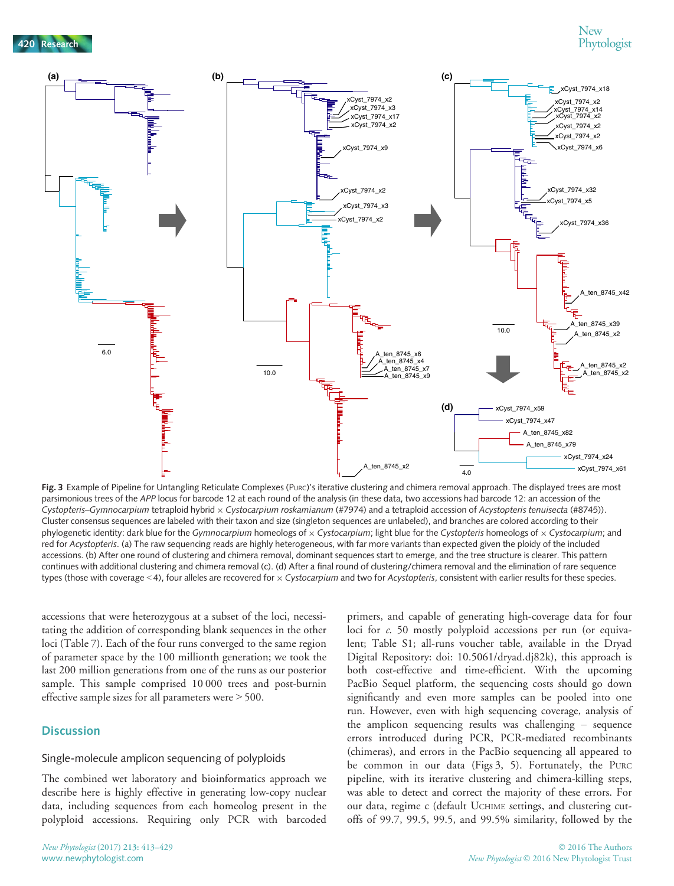

Fig. 3 Example of Pipeline for Untangling Reticulate Complexes (PuRC)'s iterative clustering and chimera removal approach. The displayed trees are most parsimonious trees of the APP locus for barcode 12 at each round of the analysis (in these data, two accessions had barcode 12: an accession of the Cystopteris–Gymnocarpium tetraploid hybrid x Cystocarpium roskamianum (#7974) and a tetraploid accession of Acystopteris tenuisecta (#8745)). Cluster consensus sequences are labeled with their taxon and size (singleton sequences are unlabeled), and branches are colored according to their phylogenetic identity: dark blue for the Gymnocarpium homeologs of  $\times$  Cystocarpium; light blue for the Cystopteris homeologs of  $\times$  Cystocarpium; and red for Acystopteris. (a) The raw sequencing reads are highly heterogeneous, with far more variants than expected given the ploidy of the included accessions. (b) After one round of clustering and chimera removal, dominant sequences start to emerge, and the tree structure is clearer. This pattern continues with additional clustering and chimera removal (c). (d) After a final round of clustering/chimera removal and the elimination of rare sequence types (those with coverage < 4), four alleles are recovered for  $\times$  Cystocarpium and two for Acystopteris, consistent with earlier results for these species.

accessions that were heterozygous at a subset of the loci, necessitating the addition of corresponding blank sequences in the other loci (Table 7). Each of the four runs converged to the same region of parameter space by the 100 millionth generation; we took the last 200 million generations from one of the runs as our posterior sample. This sample comprised 10 000 trees and post-burnin effective sample sizes for all parameters were > 500.

## **Discussion**

#### Single-molecule amplicon sequencing of polyploids

The combined wet laboratory and bioinformatics approach we describe here is highly effective in generating low-copy nuclear data, including sequences from each homeolog present in the polyploid accessions. Requiring only PCR with barcoded

primers, and capable of generating high-coverage data for four loci for c. 50 mostly polyploid accessions per run (or equivalent; Table S1; all-runs voucher table, available in the Dryad Digital Repository: doi: [10.5061/dryad.dj82k](http://dx.doi.org/10.5061/dryad.dj82k)), this approach is both cost-effective and time-efficient. With the upcoming PacBio Sequel platform, the sequencing costs should go down significantly and even more samples can be pooled into one run. However, even with high sequencing coverage, analysis of the amplicon sequencing results was challenging – sequence errors introduced during PCR, PCR-mediated recombinants (chimeras), and errors in the PacBio sequencing all appeared to be common in our data (Figs 3, 5). Fortunately, the PURC pipeline, with its iterative clustering and chimera-killing steps, was able to detect and correct the majority of these errors. For our data, regime c (default UCHIME settings, and clustering cutoffs of 99.7, 99.5, 99.5, and 99.5% similarity, followed by the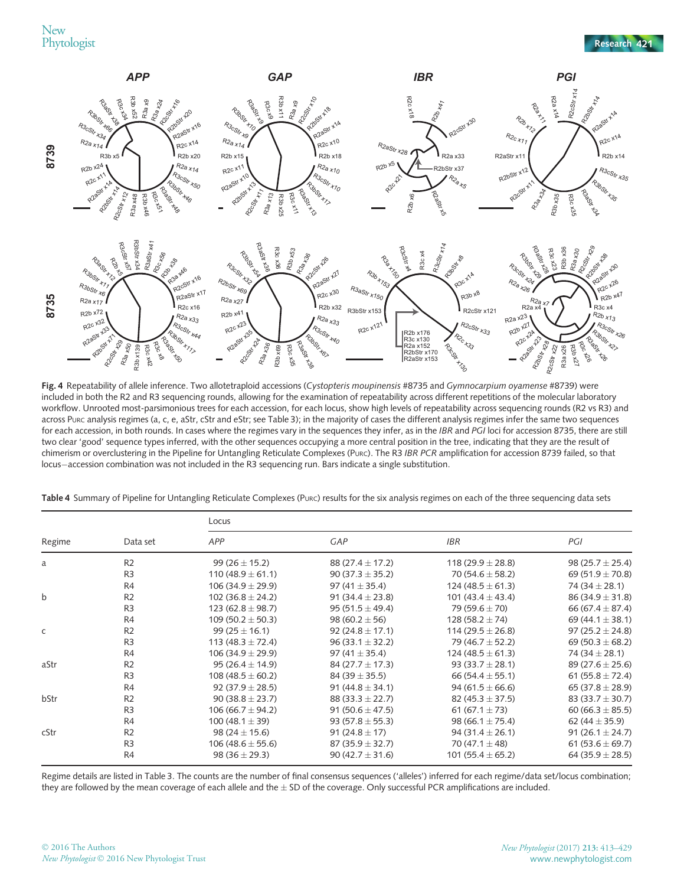

Fig. 4 Repeatability of allele inference. Two allotetraploid accessions (Cystopteris moupinensis #8735 and Gymnocarpium oyamense #8739) were included in both the R2 and R3 sequencing rounds, allowing for the examination of repeatability across different repetitions of the molecular laboratory workflow. Unrooted most-parsimonious trees for each accession, for each locus, show high levels of repeatability across sequencing rounds (R2 vs R3) and across PURC analysis regimes (a, c, e, aStr, cStr and eStr; see Table 3); in the majority of cases the different analysis regimes infer the same two sequences for each accession, in both rounds. In cases where the regimes vary in the sequences they infer, as in the IBR and PGI loci for accession 8735, there are still two clear 'good' sequence types inferred, with the other sequences occupying a more central position in the tree, indicating that they are the result of chimerism or overclustering in the Pipeline for Untangling Reticulate Complexes (PURC). The R3 IBR PCR amplification for accession 8739 failed, so that locus-accession combination was not included in the R3 sequencing run. Bars indicate a single substitution.

| Table 4 Summary of Pipeline for Untangling Reticulate Complexes (Purc) results for the six analysis regimes on each of the three sequencing data sets |  |  |
|-------------------------------------------------------------------------------------------------------------------------------------------------------|--|--|
|-------------------------------------------------------------------------------------------------------------------------------------------------------|--|--|

|              |                | Locus                 |                      |                       |                      |  |
|--------------|----------------|-----------------------|----------------------|-----------------------|----------------------|--|
| Regime       | Data set       | APP                   | GAP                  | <b>IBR</b>            | PGI                  |  |
| a            | R <sub>2</sub> | 99 $(26 \pm 15.2)$    | 88 $(27.4 \pm 17.2)$ | 118 (29.9 $\pm$ 28.8) | 98 $(25.7 \pm 25.4)$ |  |
|              | R <sub>3</sub> | 110 (48.9 $\pm$ 61.1) | $90(37.3 \pm 35.2)$  | 70 $(54.6 \pm 58.2)$  | 69 (51.9 $\pm$ 70.8) |  |
|              | R4             | $106(34.9 \pm 29.9)$  | 97 $(41 \pm 35.4)$   | 124 (48.5 $\pm$ 61.3) | 74 (34 $\pm$ 28.1)   |  |
| $\mathsf b$  | R <sub>2</sub> | 102 (36.8 $\pm$ 24.2) | 91 (34.4 $\pm$ 23.8) | 101 (43.4 $\pm$ 43.4) | $86(34.9 \pm 31.8)$  |  |
|              | R <sub>3</sub> | 123 (62.8 $\pm$ 98.7) | $95(51.5 \pm 49.4)$  | 79 $(59.6 \pm 70)$    | 66 (67.4 $\pm$ 87.4) |  |
|              | R4             | $109(50.2 \pm 50.3)$  | 98 (60.2 $\pm$ 56)   | 128 (58.2 $\pm$ 74)   | 69 (44.1 $\pm$ 38.1) |  |
| $\mathsf{C}$ | R <sub>2</sub> | 99 $(25 \pm 16.1)$    | $92(24.8 \pm 17.1)$  | 114 (29.5 $\pm$ 26.8) | $97(25.2 \pm 24.8)$  |  |
|              | R <sub>3</sub> | 113 (48.3 $\pm$ 72.4) | $96(33.1 \pm 32.2)$  | 79 $(46.7 \pm 52.2)$  | 69 (50.3 $\pm$ 68.2) |  |
|              | R4             | $106(34.9 \pm 29.9)$  | 97 $(41 \pm 35.4)$   | $124(48.5 \pm 61.3)$  | 74 $(34 \pm 28.1)$   |  |
| aStr         | R <sub>2</sub> | $95(26.4 \pm 14.9)$   | $84(27.7 \pm 17.3)$  | 93 (33.7 $\pm$ 28.1)  | $89(27.6 \pm 25.6)$  |  |
|              | R <sub>3</sub> | $108(48.5 \pm 60.2)$  | $84(39 \pm 35.5)$    | 66 $(54.4 \pm 55.1)$  | 61 (55.8 $\pm$ 72.4) |  |
|              | R4             | 92 $(37.9 \pm 28.5)$  | 91 (44.8 $\pm$ 34.1) | 94 (61.5 $\pm$ 66.6)  | 65 (37.8 $\pm$ 28.9) |  |
| bStr         | R <sub>2</sub> | $90(38.8 \pm 23.7)$   | $88(33.3 \pm 22.7)$  | 82 (45.3 $\pm$ 37.5)  | 83 (33.7 $\pm$ 30.7) |  |
|              | R <sub>3</sub> | $106(66.7 \pm 94.2)$  | 91 (50.6 $\pm$ 47.5) | 61 (67.1 $\pm$ 73)    | 60 (66.3 $\pm$ 85.5) |  |
|              | R <sub>4</sub> | 100 (48.1 $\pm$ 39)   | 93 (57.8 $\pm$ 55.3) | 98 (66.1 $\pm$ 75.4)  | 62 (44 $\pm$ 35.9)   |  |
| cStr         | R <sub>2</sub> | 98 $(24 \pm 15.6)$    | 91 $(24.8 \pm 17)$   | 94 (31.4 $\pm$ 26.1)  | 91 (26.1 $\pm$ 24.7) |  |
|              | R <sub>3</sub> | 106 (48.6 $\pm$ 55.6) | $87(35.9 \pm 32.7)$  | 70 $(47.1 \pm 48)$    | 61 (53.6 $\pm$ 69.7) |  |
|              | R <sub>4</sub> | 98 $(36 \pm 29.3)$    | $90(42.7 \pm 31.6)$  | 101 (55.4 $\pm$ 65.2) | 64 (35.9 $\pm$ 28.5) |  |

Regime details are listed in Table 3. The counts are the number of final consensus sequences ('alleles') inferred for each regime/data set/locus combination; they are followed by the mean coverage of each allele and the  $\pm$  SD of the coverage. Only successful PCR amplifications are included.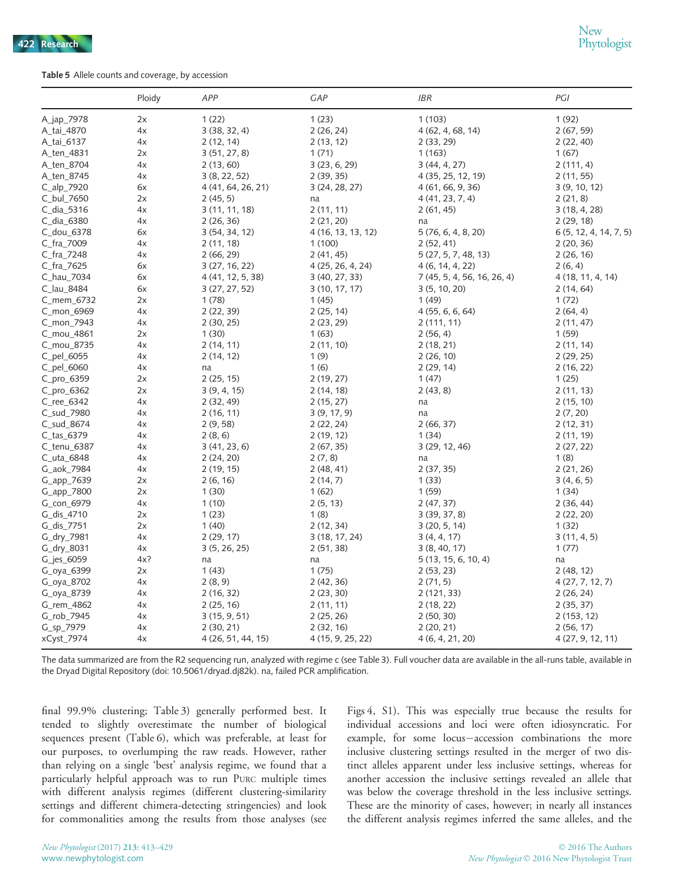Table 5 Allele counts and coverage, by accession

|             | Ploidy | APP                | GAP                | <b>IBR</b>                  | PGI                    |
|-------------|--------|--------------------|--------------------|-----------------------------|------------------------|
| A_jap_7978  | 2x     | 1(22)              | 1(23)              | 1(103)                      | 1(92)                  |
| A_tai_4870  | 4x     | 3(38, 32, 4)       | 2(26, 24)          | 4(62, 4, 68, 14)            | 2(67, 59)              |
| A_tai_6137  | 4x     | 2(12, 14)          | 2(13, 12)          | 2(33, 29)                   | 2(22, 40)              |
| A_ten_4831  | 2x     | 3(51, 27, 8)       | 1(71)              | 1(163)                      | 1(67)                  |
| A_ten_8704  | 4x     | 2(13, 60)          | 3(23, 6, 29)       | 3(44, 4, 27)                | 2(111, 4)              |
| A_ten_8745  | 4x     | 3(8, 22, 52)       | 2(39, 35)          | 4 (35, 25, 12, 19)          | 2(11, 55)              |
| C_alp_7920  | 6x     | 4 (41, 64, 26, 21) | 3 (24, 28, 27)     | 4(61, 66, 9, 36)            | 3(9, 10, 12)           |
| C_bul_7650  | 2x     | 2(45, 5)           | na                 | 4(41, 23, 7, 4)             | 2(21, 8)               |
| C_dia_5316  | 4x     | 3(11, 11, 18)      | 2(11, 11)          | 2(61, 45)                   | 3(18, 4, 28)           |
| C_dia_6380  | 4x     | 2(26, 36)          | 2(21, 20)          | na                          | 2(29, 18)              |
| C_dou_6378  | 6x     | 3 (54, 34, 12)     | 4 (16, 13, 13, 12) | 5(76, 6, 4, 8, 20)          | 6 (5, 12, 4, 14, 7, 5) |
| C_fra_7009  | 4x     | 2(11, 18)          | 1(100)             | 2(52, 41)                   | 2(20, 36)              |
| C_fra_7248  | 4x     | 2(66, 29)          | 2(41, 45)          | 5(27, 5, 7, 48, 13)         | 2(26, 16)              |
| C_fra_7625  | 6x     | 3(27, 16, 22)      | 4 (25, 26, 4, 24)  | 4(6, 14, 4, 22)             | 2(6, 4)                |
| C_hau_7034  | 6x     | 4 (41, 12, 5, 38)  | 3 (40, 27, 33)     | 7 (45, 5, 4, 56, 16, 26, 4) | 4 (18, 11, 4, 14)      |
| C_lau_8484  | 6x     | 3(27, 27, 52)      | 3 (10, 17, 17)     | 3(5, 10, 20)                | 2(14, 64)              |
| C_mem_6732  | 2x     | 1(78)              | 1(45)              | 1(49)                       | 1(72)                  |
| C_mon_6969  | 4x     | 2(22, 39)          | 2(25, 14)          | 4(55, 6, 6, 64)             | 2(64, 4)               |
| C_mon_7943  | 4x     | 2 (30, 25)         | 2(23, 29)          | 2(111, 11)                  | 2(11, 47)              |
| C_mou_4861  | 2x     | 1(30)              | 1(63)              | 2(56, 4)                    | 1(59)                  |
| C_mou_8735  | 4x     | 2(14, 11)          | 2(11, 10)          | 2(18, 21)                   | 2(11, 14)              |
| C_pel_6055  | 4x     | 2(14, 12)          | 1(9)               | 2(26, 10)                   | 2(29, 25)              |
| C_pel_6060  | 4x     | na                 | 1(6)               | 2(29, 14)                   | 2(16, 22)              |
| C_pro_6359  | 2x     | 2(25, 15)          | 2(19, 27)          | 1(47)                       | 1(25)                  |
| C_pro_6362  | 2x     | 3(9, 4, 15)        | 2(14, 18)          | 2(43, 8)                    | 2(11, 13)              |
| C_ree_6342  | 4x     | 2(32, 49)          | 2(15, 27)          | na                          | 2(15, 10)              |
| C_sud_7980  | 4x     | 2(16, 11)          | 3(9, 17, 9)        | na                          | 2(7, 20)               |
| C_sud_8674  | 4x     | 2(9, 58)           | 2(22, 24)          | 2(66, 37)                   | 2(12, 31)              |
| C_tas_6379  | 4x     | 2(8, 6)            | 2(19, 12)          | 1(34)                       | 2(11, 19)              |
| C_tenu_6387 | 4x     | 3(41, 23, 6)       | 2(67, 35)          | 3(29, 12, 46)               | 2(27, 22)              |
| C_uta_6848  | 4x     | 2(24, 20)          | 2(7, 8)            | na                          | 1(8)                   |
| G_aok_7984  | 4x     | 2(19, 15)          | 2(48, 41)          | 2(37, 35)                   | 2(21, 26)              |
| G_app_7639  | 2x     | 2(6, 16)           | 2(14, 7)           | 1(33)                       | 3(4, 6, 5)             |
| G_app_7800  | 2x     | 1(30)              | 1(62)              | 1(59)                       | 1(34)                  |
| G_con_6979  | 4x     | 1(10)              | 2(5, 13)           | 2 (47, 37)                  | 2(36, 44)              |
| G_dis_4710  | 2x     | 1(23)              | 1(8)               | 3(39, 37, 8)                | 2(22, 20)              |
| G_dis_7751  | 2x     | 1(40)              | 2(12, 34)          | 3(20, 5, 14)                | 1(32)                  |
| G_dry_7981  | 4x     | 2(29, 17)          | 3 (18, 17, 24)     | 3(4, 4, 17)                 | 3(11, 4, 5)            |
| G_dry_8031  | 4x     | 3(5, 26, 25)       | 2(51, 38)          | 3(8, 40, 17)                | 1(77)                  |
| G_jes_6059  | 4x?    | na                 | na                 | 5(13, 15, 6, 10, 4)         | na                     |
| G_oya_6399  | 2x     | 1(43)              | 1(75)              | 2(53, 23)                   | 2(48, 12)              |
| G_oya_8702  | 4x     | 2(8, 9)            | 2(42, 36)          | 2(71, 5)                    | 4(27, 7, 12, 7)        |
| G_oya_8739  | 4x     | 2(16, 32)          | 2(23, 30)          | 2(121, 33)                  | 2(26, 24)              |
| G_rem_4862  | 4x     | 2(25, 16)          | 2(11, 11)          | 2(18, 22)                   | 2(35, 37)              |
| G_rob_7945  | 4x     | 3(15, 9, 51)       | 2(25, 26)          | 2(50, 30)                   | 2(153, 12)             |
| G_sp_7979   | 4x     | 2(30, 21)          | 2(32, 16)          | 2(20, 21)                   | 2(56, 17)              |
| xCyst_7974  | 4x     | 4 (26, 51, 44, 15) | 4 (15, 9, 25, 22)  | 4 (6, 4, 21, 20)            | 4 (27, 9, 12, 11)      |

The data summarized are from the R2 sequencing run, analyzed with regime c (see Table 3). Full voucher data are available in the all-runs table, available in the Dryad Digital Repository (doi: [10.5061/dryad.dj82k](info:doi/10.5061/dryad.dj82k)). na, failed PCR amplification.

final 99.9% clustering; Table 3) generally performed best. It tended to slightly overestimate the number of biological sequences present (Table 6), which was preferable, at least for our purposes, to overlumping the raw reads. However, rather than relying on a single 'best' analysis regime, we found that a particularly helpful approach was to run PURC multiple times with different analysis regimes (different clustering-similarity settings and different chimera-detecting stringencies) and look for commonalities among the results from those analyses (see

Figs 4, S1). This was especially true because the results for individual accessions and loci were often idiosyncratic. For example, for some locus-accession combinations the more inclusive clustering settings resulted in the merger of two distinct alleles apparent under less inclusive settings, whereas for another accession the inclusive settings revealed an allele that was below the coverage threshold in the less inclusive settings. These are the minority of cases, however; in nearly all instances the different analysis regimes inferred the same alleles, and the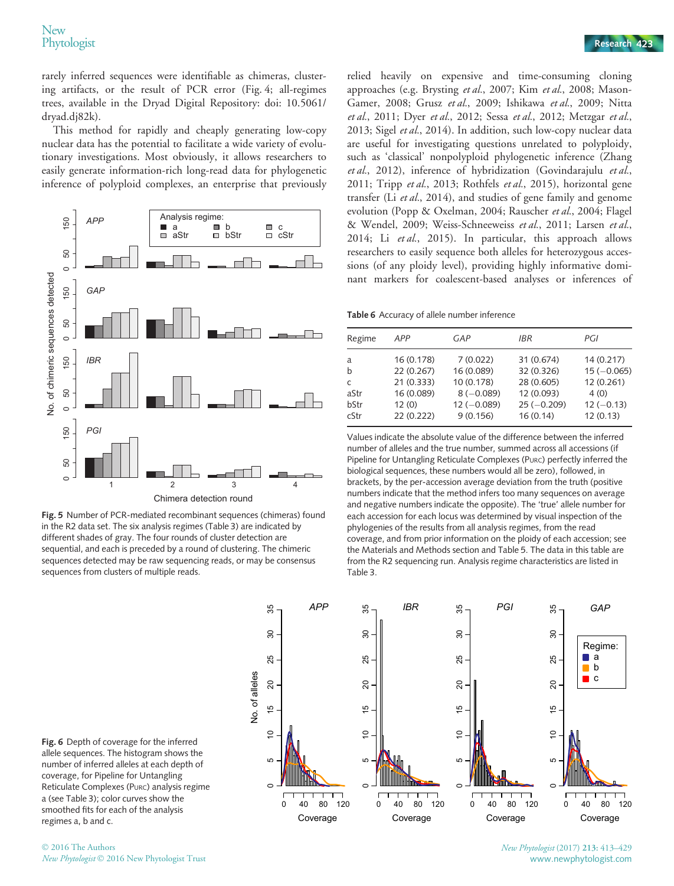rarely inferred sequences were identifiable as chimeras, clustering artifacts, or the result of PCR error (Fig. 4; all-regimes trees, available in the Dryad Digital Repository: doi: [10.5061/](http://dx.doi.org/10.5061/dryad.dj82k) [dryad.dj82k\)](http://dx.doi.org/10.5061/dryad.dj82k).

This method for rapidly and cheaply generating low-copy nuclear data has the potential to facilitate a wide variety of evolutionary investigations. Most obviously, it allows researchers to easily generate information-rich long-read data for phylogenetic inference of polyploid complexes, an enterprise that previously



Fig. 5 Number of PCR-mediated recombinant sequences (chimeras) found in the R2 data set. The six analysis regimes (Table 3) are indicated by different shades of gray. The four rounds of cluster detection are sequential, and each is preceded by a round of clustering. The chimeric sequences detected may be raw sequencing reads, or may be consensus sequences from clusters of multiple reads.

Phytologist Research 423

relied heavily on expensive and time-consuming cloning approaches (e.g. Brysting et al., 2007; Kim et al., 2008; Mason-Gamer, 2008; Grusz et al., 2009; Ishikawa et al., 2009; Nitta et al., 2011; Dyer et al., 2012; Sessa et al., 2012; Metzgar et al., 2013; Sigel et al., 2014). In addition, such low-copy nuclear data are useful for investigating questions unrelated to polyploidy, such as 'classical' nonpolyploid phylogenetic inference (Zhang et al., 2012), inference of hybridization (Govindarajulu et al., 2011; Tripp et al., 2013; Rothfels et al., 2015), horizontal gene transfer (Li et al., 2014), and studies of gene family and genome evolution (Popp & Oxelman, 2004; Rauscher et al., 2004; Flagel & Wendel, 2009; Weiss-Schneeweiss et al., 2011; Larsen et al., 2014; Li et al., 2015). In particular, this approach allows researchers to easily sequence both alleles for heterozygous accessions (of any ploidy level), providing highly informative dominant markers for coalescent-based analyses or inferences of

Table 6 Accuracy of allele number inference

| Regime                              | APP                                                                         | GAP                                                                             | IBR                                                                              | PGI                                                                         |
|-------------------------------------|-----------------------------------------------------------------------------|---------------------------------------------------------------------------------|----------------------------------------------------------------------------------|-----------------------------------------------------------------------------|
| a<br>b<br>C<br>aStr<br>bStr<br>cStr | 16 (0.178)<br>22 (0.267)<br>21 (0.333)<br>16 (0.089)<br>12(0)<br>22 (0.222) | 7(0.022)<br>16 (0.089)<br>10 (0.178)<br>$8(-0.089)$<br>$12(-0.089)$<br>9(0.156) | 31 (0.674)<br>32 (0.326)<br>28 (0.605)<br>12 (0.093)<br>$25(-0.209)$<br>16(0.14) | 14 (0.217)<br>$15(-0.065)$<br>12 (0.261)<br>4(0)<br>$12(-0.13)$<br>12(0.13) |

Values indicate the absolute value of the difference between the inferred number of alleles and the true number, summed across all accessions (if Pipeline for Untangling Reticulate Complexes (PURC) perfectly inferred the biological sequences, these numbers would all be zero), followed, in brackets, by the per-accession average deviation from the truth (positive numbers indicate that the method infers too many sequences on average and negative numbers indicate the opposite). The 'true' allele number for each accession for each locus was determined by visual inspection of the phylogenies of the results from all analysis regimes, from the read coverage, and from prior information on the ploidy of each accession; see the Materials and Methods section and Table 5. The data in this table are from the R2 sequencing run. Analysis regime characteristics are listed in Table 3.

Fig. 6 Depth of coverage for the inferred allele sequences. The histogram shows the number of inferred alleles at each depth of coverage, for Pipeline for Untangling Reticulate Complexes (PURC) analysis regime a (see Table 3); color curves show the smoothed fits for each of the analysis regimes a, b and c.



 2016 The Authors New Phytologist © 2016 New Phytologist Trust New Phytologist (2017) 213: 413–429 www.newphytologist.com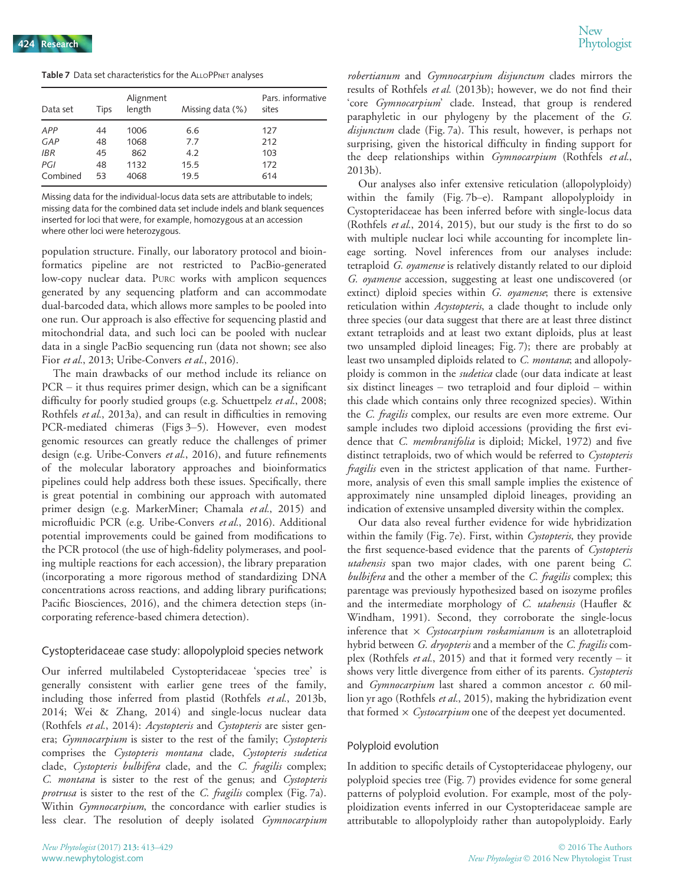Table 7 Data set characteristics for the ALLOPPNET analyses

| Data set   | <b>Tips</b> | Alignment<br>length | Missing data $(\%)$ | Pars. informative<br>sites |
|------------|-------------|---------------------|---------------------|----------------------------|
| APP        | 44          | 1006                | 6.6                 | 127                        |
| GAP        | 48          | 1068                | 77                  | 212                        |
| <b>IBR</b> | 45          | 862                 | 4.2                 | 103                        |
| PGI        | 48          | 1132                | 15.5                | 172                        |
| Combined   | 53          | 4068                | 19.5                | 614                        |
|            |             |                     |                     |                            |

Missing data for the individual-locus data sets are attributable to indels; missing data for the combined data set include indels and blank sequences inserted for loci that were, for example, homozygous at an accession where other loci were heterozygous.

population structure. Finally, our laboratory protocol and bioinformatics pipeline are not restricted to PacBio-generated low-copy nuclear data. PURC works with amplicon sequences generated by any sequencing platform and can accommodate dual-barcoded data, which allows more samples to be pooled into one run. Our approach is also effective for sequencing plastid and mitochondrial data, and such loci can be pooled with nuclear data in a single PacBio sequencing run (data not shown; see also Fior et al., 2013; Uribe-Convers et al., 2016).

The main drawbacks of our method include its reliance on PCR – it thus requires primer design, which can be a significant difficulty for poorly studied groups (e.g. Schuettpelz et al., 2008; Rothfels et al., 2013a), and can result in difficulties in removing PCR-mediated chimeras (Figs 3–5). However, even modest genomic resources can greatly reduce the challenges of primer design (e.g. Uribe-Convers et al., 2016), and future refinements of the molecular laboratory approaches and bioinformatics pipelines could help address both these issues. Specifically, there is great potential in combining our approach with automated primer design (e.g. MarkerMiner; Chamala et al., 2015) and microfluidic PCR (e.g. Uribe-Convers et al., 2016). Additional potential improvements could be gained from modifications to the PCR protocol (the use of high-fidelity polymerases, and pooling multiple reactions for each accession), the library preparation (incorporating a more rigorous method of standardizing DNA concentrations across reactions, and adding library purifications; Pacific Biosciences, 2016), and the chimera detection steps (incorporating reference-based chimera detection).

#### Cystopteridaceae case study: allopolyploid species network

Our inferred multilabeled Cystopteridaceae 'species tree' is generally consistent with earlier gene trees of the family, including those inferred from plastid (Rothfels et al., 2013b, 2014; Wei & Zhang, 2014) and single-locus nuclear data (Rothfels et al., 2014): Acystopteris and Cystopteris are sister genera; Gymnocarpium is sister to the rest of the family; Cystopteris comprises the Cystopteris montana clade, Cystopteris sudetica clade, Cystopteris bulbifera clade, and the C. fragilis complex; C. montana is sister to the rest of the genus; and Cystopteris protrusa is sister to the rest of the C. fragilis complex (Fig. 7a). Within Gymnocarpium, the concordance with earlier studies is less clear. The resolution of deeply isolated *Gymnocarpium* 

robertianum and Gymnocarpium disjunctum clades mirrors the results of Rothfels et al. (2013b); however, we do not find their 'core Gymnocarpium' clade. Instead, that group is rendered paraphyletic in our phylogeny by the placement of the G. disjunctum clade (Fig. 7a). This result, however, is perhaps not surprising, given the historical difficulty in finding support for the deep relationships within Gymnocarpium (Rothfels et al., 2013b).

Our analyses also infer extensive reticulation (allopolyploidy) within the family (Fig. 7b–e). Rampant allopolyploidy in Cystopteridaceae has been inferred before with single-locus data (Rothfels et al., 2014, 2015), but our study is the first to do so with multiple nuclear loci while accounting for incomplete lineage sorting. Novel inferences from our analyses include: tetraploid G. oyamense is relatively distantly related to our diploid G. oyamense accession, suggesting at least one undiscovered (or extinct) diploid species within G. oyamense; there is extensive reticulation within Acystopteris, a clade thought to include only three species (our data suggest that there are at least three distinct extant tetraploids and at least two extant diploids, plus at least two unsampled diploid lineages; Fig. 7); there are probably at least two unsampled diploids related to C. montana; and allopolyploidy is common in the *sudetica* clade (our data indicate at least six distinct lineages – two tetraploid and four diploid – within this clade which contains only three recognized species). Within the C. fragilis complex, our results are even more extreme. Our sample includes two diploid accessions (providing the first evidence that *C. membranifolia* is diploid; Mickel, 1972) and five distinct tetraploids, two of which would be referred to Cystopteris fragilis even in the strictest application of that name. Furthermore, analysis of even this small sample implies the existence of approximately nine unsampled diploid lineages, providing an indication of extensive unsampled diversity within the complex.

Our data also reveal further evidence for wide hybridization within the family (Fig. 7e). First, within Cystopteris, they provide the first sequence-based evidence that the parents of Cystopteris utahensis span two major clades, with one parent being C. bulbifera and the other a member of the C. fragilis complex; this parentage was previously hypothesized based on isozyme profiles and the intermediate morphology of C. utahensis (Haufler & Windham, 1991). Second, they corroborate the single-locus inference that  $\times$  Cystocarpium roskamianum is an allotetraploid hybrid between G. dryopteris and a member of the C. fragilis complex (Rothfels *et al.*, 2015) and that it formed very recently – it shows very little divergence from either of its parents. Cystopteris and  $Gymnocarpium$  last shared a common ancestor  $c$ . 60 million yr ago (Rothfels et al., 2015), making the hybridization event that formed  $\times$  Cystocarpium one of the deepest yet documented.

#### Polyploid evolution

In addition to specific details of Cystopteridaceae phylogeny, our polyploid species tree (Fig. 7) provides evidence for some general patterns of polyploid evolution. For example, most of the polyploidization events inferred in our Cystopteridaceae sample are attributable to allopolyploidy rather than autopolyploidy. Early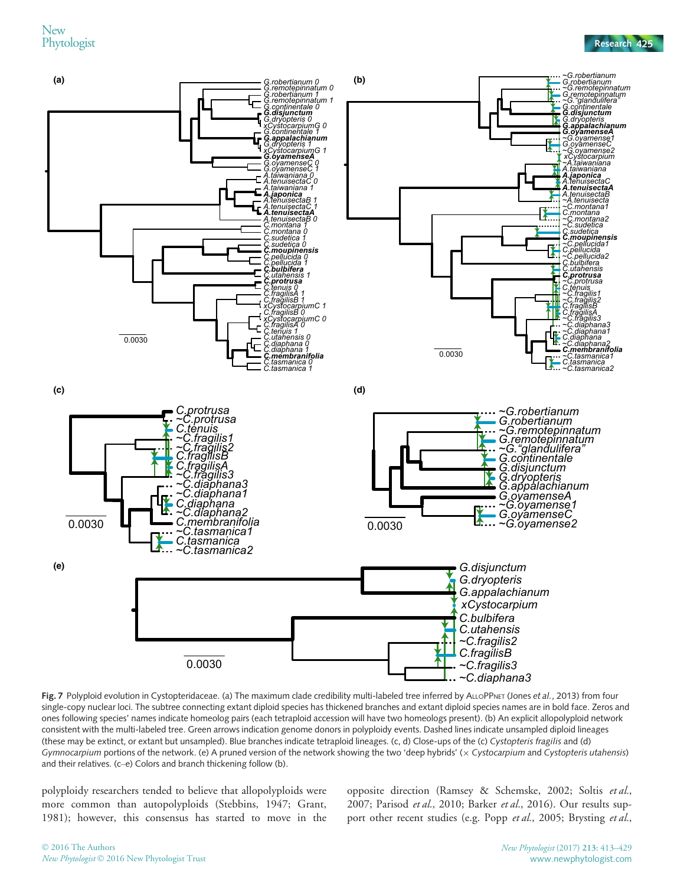



Fig. 7 Polyploid evolution in Cystopteridaceae. (a) The maximum clade credibility multi-labeled tree inferred by ALLOPPNET (Jones et al., 2013) from four single-copy nuclear loci. The subtree connecting extant diploid species has thickened branches and extant diploid species names are in bold face. Zeros and ones following species' names indicate homeolog pairs (each tetraploid accession will have two homeologs present). (b) An explicit allopolyploid network consistent with the multi-labeled tree. Green arrows indication genome donors in polyploidy events. Dashed lines indicate unsampled diploid lineages (these may be extinct, or extant but unsampled). Blue branches indicate tetraploid lineages. (c, d) Close-ups of the (c) Cystopteris fragilis and (d) Gymnocarpium portions of the network. (e) A pruned version of the network showing the two 'deep hybrids' ( $\times$  Cystocarpium and Cystopteris utahensis) and their relatives. (c–e) Colors and branch thickening follow (b).

polyploidy researchers tended to believe that allopolyploids were more common than autopolyploids (Stebbins, 1947; Grant, 1981); however, this consensus has started to move in the

opposite direction (Ramsey & Schemske, 2002; Soltis et al., 2007; Parisod et al., 2010; Barker et al., 2016). Our results support other recent studies (e.g. Popp et al., 2005; Brysting et al.,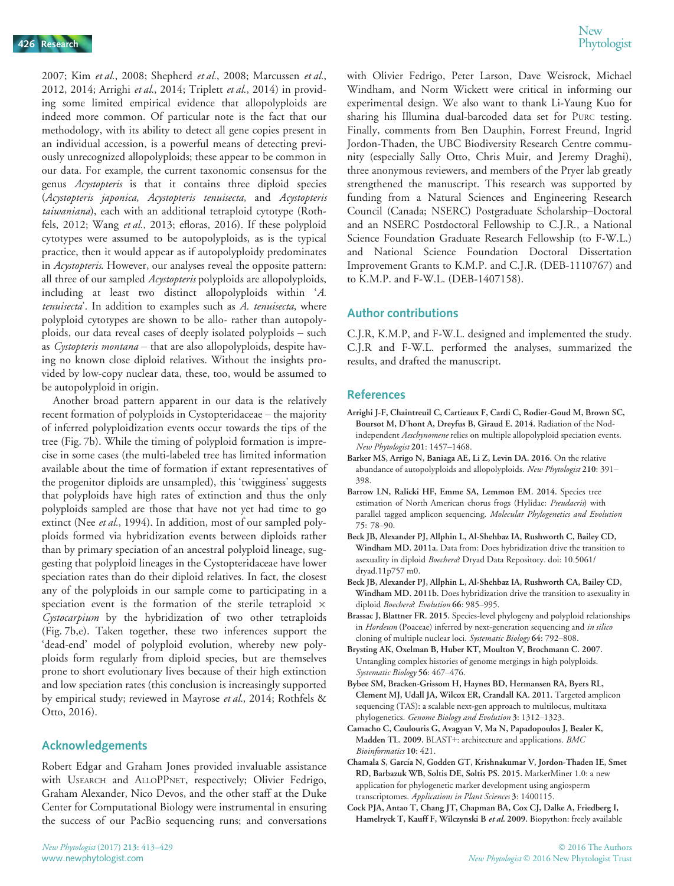2007; Kim et al., 2008; Shepherd et al., 2008; Marcussen et al., 2012, 2014; Arrighi et al., 2014; Triplett et al., 2014) in providing some limited empirical evidence that allopolyploids are indeed more common. Of particular note is the fact that our methodology, with its ability to detect all gene copies present in an individual accession, is a powerful means of detecting previously unrecognized allopolyploids; these appear to be common in our data. For example, the current taxonomic consensus for the genus Acystopteris is that it contains three diploid species (Acystopteris japonica, Acystopteris tenuisecta, and Acystopteris taiwaniana), each with an additional tetraploid cytotype (Rothfels, 2012; Wang et al., 2013; efloras, 2016). If these polyploid cytotypes were assumed to be autopolyploids, as is the typical practice, then it would appear as if autopolyploidy predominates in Acystopteris. However, our analyses reveal the opposite pattern: all three of our sampled Acystopteris polyploids are allopolyploids, including at least two distinct allopolyploids within 'A. tenuisecta'. In addition to examples such as A. tenuisecta, where polyploid cytotypes are shown to be allo- rather than autopolyploids, our data reveal cases of deeply isolated polyploids – such as Cystopteris montana – that are also allopolyploids, despite having no known close diploid relatives. Without the insights provided by low-copy nuclear data, these, too, would be assumed to be autopolyploid in origin.

Another broad pattern apparent in our data is the relatively recent formation of polyploids in Cystopteridaceae – the majority of inferred polyploidization events occur towards the tips of the tree (Fig. 7b). While the timing of polyploid formation is imprecise in some cases (the multi-labeled tree has limited information available about the time of formation if extant representatives of the progenitor diploids are unsampled), this 'twigginess' suggests that polyploids have high rates of extinction and thus the only polyploids sampled are those that have not yet had time to go extinct (Nee et al., 1994). In addition, most of our sampled polyploids formed via hybridization events between diploids rather than by primary speciation of an ancestral polyploid lineage, suggesting that polyploid lineages in the Cystopteridaceae have lower speciation rates than do their diploid relatives. In fact, the closest any of the polyploids in our sample come to participating in a speciation event is the formation of the sterile tetraploid  $\times$ Cystocarpium by the hybridization of two other tetraploids (Fig. 7b,e). Taken together, these two inferences support the 'dead-end' model of polyploid evolution, whereby new polyploids form regularly from diploid species, but are themselves prone to short evolutionary lives because of their high extinction and low speciation rates (this conclusion is increasingly supported by empirical study; reviewed in Mayrose et al., 2014; Rothfels & Otto, 2016).

## Acknowledgements

Robert Edgar and Graham Jones provided invaluable assistance with USEARCH and ALLOPPNET, respectively; Olivier Fedrigo, Graham Alexander, Nico Devos, and the other staff at the Duke Center for Computational Biology were instrumental in ensuring the success of our PacBio sequencing runs; and conversations

with Olivier Fedrigo, Peter Larson, Dave Weisrock, Michael Windham, and Norm Wickett were critical in informing our experimental design. We also want to thank Li-Yaung Kuo for sharing his Illumina dual-barcoded data set for PURC testing. Finally, comments from Ben Dauphin, Forrest Freund, Ingrid Jordon-Thaden, the UBC Biodiversity Research Centre community (especially Sally Otto, Chris Muir, and Jeremy Draghi), three anonymous reviewers, and members of the Pryer lab greatly strengthened the manuscript. This research was supported by funding from a Natural Sciences and Engineering Research Council (Canada; NSERC) Postgraduate Scholarship–Doctoral and an NSERC Postdoctoral Fellowship to C.J.R., a National Science Foundation Graduate Research Fellowship (to F-W.L.) and National Science Foundation Doctoral Dissertation Improvement Grants to K.M.P. and C.J.R. (DEB-1110767) and to K.M.P. and F-W.L. (DEB-1407158).

## Author contributions

C.J.R, K.M.P, and F-W.L. designed and implemented the study. C.J.R and F-W.L. performed the analyses, summarized the results, and drafted the manuscript.

## References

- Arrighi J-F, Chaintreuil C, Cartieaux F, Cardi C, Rodier-Goud M, Brown SC, Boursot M, D'hont A, Dreyfus B, Giraud E. 2014. Radiation of the Nodindependent Aeschynomene relies on multiple allopolyploid speciation events. New Phytologist 201: 1457–1468.
- Barker MS, Arrigo N, Baniaga AE, Li Z, Levin DA. 2016. On the relative abundance of autopolyploids and allopolyploids. New Phytologist 210: 391– 398.
- Barrow LN, Ralicki HF, Emme SA, Lemmon EM. 2014. Species tree estimation of North American chorus frogs (Hylidae: Pseudacris) with parallel tagged amplicon sequencing. Molecular Phylogenetics and Evolution 75: 78–90.
- Beck JB, Alexander PJ, Allphin L, Al-Shehbaz IA, Rushworth C, Bailey CD, Windham MD. 2011a. Data from: Does hybridization drive the transition to asexuality in diploid Boechera? Dryad Data Repository. doi: [10.5061/](http://dx.doi.org/10.5061/dryad.11p757<ucode><ucodep> </ucodep></ucode>m0) [dryad.11p757 m0.](http://dx.doi.org/10.5061/dryad.11p757<ucode><ucodep> </ucodep></ucode>m0)
- Beck JB, Alexander PJ, Allphin L, Al-Shehbaz IA, Rushworth CA, Bailey CD, Windham MD. 2011b. Does hybridization drive the transition to asexuality in diploid Boechera? Evolution 66: 985-995.
- Brassac J, Blattner FR. 2015. Species-level phylogeny and polyploid relationships in Hordeum (Poaceae) inferred by next-generation sequencing and in silico cloning of multiple nuclear loci. Systematic Biology 64: 792–808.
- Brysting AK, Oxelman B, Huber KT, Moulton V, Brochmann C. 2007. Untangling complex histories of genome mergings in high polyploids. Systematic Biology 56: 467–476.
- Bybee SM, Bracken-Grissom H, Haynes BD, Hermansen RA, Byers RL, Clement MJ, Udall JA, Wilcox ER, Crandall KA. 2011. Targeted amplicon sequencing (TAS): a scalable next-gen approach to multilocus, multitaxa phylogenetics. Genome Biology and Evolution 3: 1312–1323.
- Camacho C, Coulouris G, Avagyan V, Ma N, Papadopoulos J, Bealer K, Madden TL. 2009. BLAST+: architecture and applications. BMC Bioinformatics 10: 421.
- Chamala S, García N, Godden GT, Krishnakumar V, Jordon-Thaden IE, Smet RD, Barbazuk WB, Soltis DE, Soltis PS. 2015. MarkerMiner 1.0: a new application for phylogenetic marker development using angiosperm transcriptomes. Applications in Plant Sciences 3: 1400115.
- Cock PJA, Antao T, Chang JT, Chapman BA, Cox CJ, Dalke A, Friedberg I, Hamelryck T, Kauff F, Wilczynski B et al. 2009. Biopython: freely available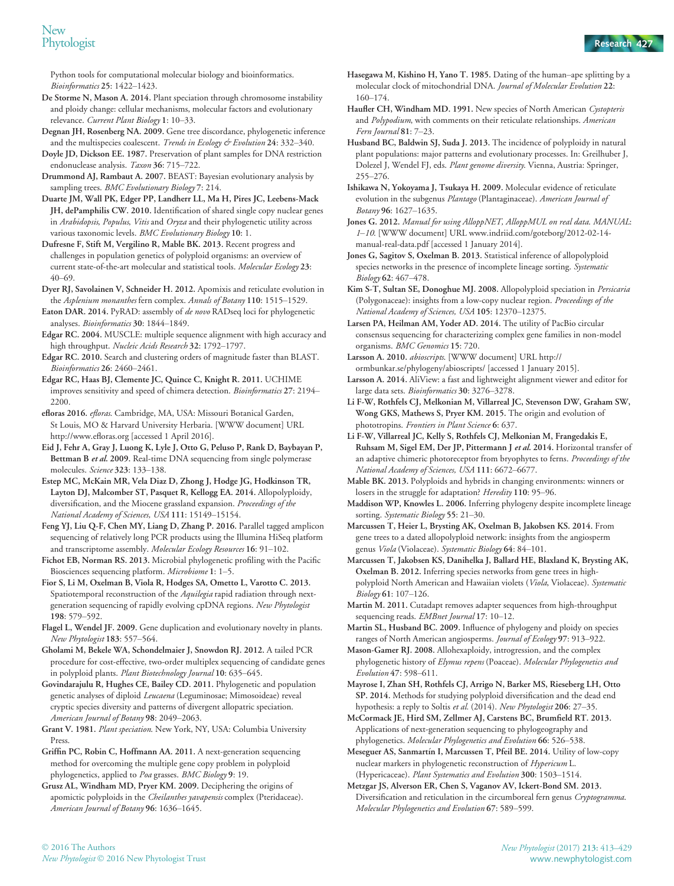Python tools for computational molecular biology and bioinformatics. Bioinformatics 25: 1422–1423.

- De Storme N, Mason A. 2014. Plant speciation through chromosome instability and ploidy change: cellular mechanisms, molecular factors and evolutionary relevance. Current Plant Biology 1: 10–33.
- Degnan JH, Rosenberg NA. 2009. Gene tree discordance, phylogenetic inference and the multispecies coalescent. Trends in Ecology & Evolution 24: 332-340.
- Doyle JD, Dickson EE. 1987. Preservation of plant samples for DNA restriction endonuclease analysis. Taxon 36: 715–722.
- Drummond AJ, Rambaut A. 2007. BEAST: Bayesian evolutionary analysis by sampling trees. BMC Evolutionary Biology 7: 214.
- Duarte JM, Wall PK, Edger PP, Landherr LL, Ma H, Pires JC, Leebens-Mack JH, dePamphilis CW. 2010. Identification of shared single copy nuclear genes in Arabidopsis, Populus, Vitis and Oryza and their phylogenetic utility across various taxonomic levels. BMC Evolutionary Biology 10: 1.
- Dufresne F, Stift M, Vergilino R, Mable BK. 2013. Recent progress and challenges in population genetics of polyploid organisms: an overview of current state-of-the-art molecular and statistical tools. Molecular Ecology 23: 40–69.
- Dyer RJ, Savolainen V, Schneider H. 2012. Apomixis and reticulate evolution in the Asplenium monanthes fern complex. Annals of Botany 110: 1515–1529.
- Eaton DAR. 2014. PyRAD: assembly of de novo RADseq loci for phylogenetic analyses. Bioinformatics 30: 1844–1849.
- Edgar RC. 2004. MUSCLE: multiple sequence alignment with high accuracy and high throughput. Nucleic Acids Research 32: 1792-1797.
- Edgar RC. 2010. Search and clustering orders of magnitude faster than BLAST. Bioinformatics 26: 2460–2461.
- Edgar RC, Haas BJ, Clemente JC, Quince C, Knight R. 2011. UCHIME improves sensitivity and speed of chimera detection. Bioinformatics 27: 2194– 2200
- efloras 2016. efloras. Cambridge, MA, USA: Missouri Botanical Garden, St Louis, MO & Harvard University Herbaria. [WWW document] URL <http://www.efloras.org> [accessed 1 April 2016].
- Eid J, Fehr A, Gray J, Luong K, Lyle J, Otto G, Peluso P, Rank D, Baybayan P, Bettman B et al. 2009. Real-time DNA sequencing from single polymerase molecules. Science 323: 133–138.
- Estep MC, McKain MR, Vela Diaz D, Zhong J, Hodge JG, Hodkinson TR, Layton DJ, Malcomber ST, Pasquet R, Kellogg EA. 2014. Allopolyploidy, diversification, and the Miocene grassland expansion. Proceedings of the National Academy of Sciences, USA 111: 15149–15154.
- Feng YJ, Liu Q-F, Chen MY, Liang D, Zhang P. 2016. Parallel tagged amplicon sequencing of relatively long PCR products using the Illumina HiSeq platform and transcriptome assembly. Molecular Ecology Resources 16: 91–102.
- Fichot EB, Norman RS. 2013. Microbial phylogenetic profiling with the Pacific Biosciences sequencing platform. Microbiome 1: 1–5.
- Fior S, Li M, Oxelman B, Viola R, Hodges SA, Ometto L, Varotto C. 2013. Spatiotemporal reconstruction of the Aquilegia rapid radiation through nextgeneration sequencing of rapidly evolving cpDNA regions. New Phytologist 198: 579–592.
- Flagel L, Wendel JF. 2009. Gene duplication and evolutionary novelty in plants. New Phytologist 183: 557–564.
- Gholami M, Bekele WA, Schondelmaier J, Snowdon RJ. 2012. A tailed PCR procedure for cost-effective, two-order multiplex sequencing of candidate genes in polyploid plants. Plant Biotechnology Journal 10: 635–645.
- Govindarajulu R, Hughes CE, Bailey CD. 2011. Phylogenetic and population genetic analyses of diploid Leucaena (Leguminosae; Mimosoideae) reveal cryptic species diversity and patterns of divergent allopatric speciation. American Journal of Botany 98: 2049–2063.
- Grant V. 1981. Plant speciation. New York, NY, USA: Columbia University Press.
- Griffin PC, Robin C, Hoffmann AA. 2011. A next-generation sequencing method for overcoming the multiple gene copy problem in polyploid phylogenetics, applied to Poa grasses. BMC Biology 9: 19.
- Grusz AL, Windham MD, Pryer KM. 2009. Deciphering the origins of apomictic polyploids in the *Cheilanthes yavapensis* complex (Pteridaceae). American Journal of Botany 96: 1636–1645.
- Hasegawa M, Kishino H, Yano T. 1985. Dating of the human–ape splitting by a molecular clock of mitochondrial DNA. Journal of Molecular Evolution 22: 160–174.
- Haufler CH, Windham MD. 1991. New species of North American Cystopteris and Polypodium, with comments on their reticulate relationships. American Fern Journal 81: 7–23.
- Husband BC, Baldwin SJ, Suda J. 2013. The incidence of polyploidy in natural plant populations: major patterns and evolutionary processes. In: Greilhuber J, Dolezel J, Wendel FJ, eds. Plant genome diversity. Vienna, Austria: Springer, 255–276.
- Ishikawa N, Yokoyama J, Tsukaya H. 2009. Molecular evidence of reticulate evolution in the subgenus Plantago (Plantaginaceae). American Journal of Botany 96: 1627–1635.
- Jones G. 2012. Manual for using AlloppNET, AlloppMUL on real data. MANUAL: 1–10. [WWW document] URL [www.indriid.com/goteborg/2012-02-14](http://www.indriid.com/goteborg/2012-02-14-manual-real-dat) [manual-real-data.pdf](http://www.indriid.com/goteborg/2012-02-14-manual-real-dat) [accessed 1 January 2014].
- Jones G, Sagitov S, Oxelman B. 2013. Statistical inference of allopolyploid species networks in the presence of incomplete lineage sorting. Systematic Biology 62: 467–478.
- Kim S-T, Sultan SE, Donoghue MJ. 2008. Allopolyploid speciation in Persicaria (Polygonaceae): insights from a low-copy nuclear region. Proceedings of the National Academy of Sciences, USA 105: 12370–12375.
- Larsen PA, Heilman AM, Yoder AD. 2014. The utility of PacBio circular consensus sequencing for characterizing complex gene families in non-model organisms. BMC Genomics 15: 720.
- Larsson A. 2010. abioscripts. [WWW document] URL [http://](http://ormbunkar.se/phylogeny/abioscripts/) [ormbunkar.se/phylogeny/abioscripts/](http://ormbunkar.se/phylogeny/abioscripts/) [accessed 1 January 2015].
- Larsson A. 2014. AliView: a fast and lightweight alignment viewer and editor for large data sets. Bioinformatics 30: 3276–3278.
- Li F-W, Rothfels CJ, Melkonian M, Villarreal JC, Stevenson DW, Graham SW, Wong GKS, Mathews S, Pryer KM. 2015. The origin and evolution of phototropins. Frontiers in Plant Science 6: 637.
- Li F-W, Villarreal JC, Kelly S, Rothfels CJ, Melkonian M, Frangedakis E, Ruhsam M, Sigel EM, Der JP, Pittermann J et al. 2014. Horizontal transfer of an adaptive chimeric photoreceptor from bryophytes to ferns. Proceedings of the National Academy of Sciences, USA 111: 6672–6677.
- Mable BK. 2013. Polyploids and hybrids in changing environments: winners or losers in the struggle for adaptation? Heredity 110: 95–96.
- Maddison WP, Knowles L. 2006. Inferring phylogeny despite incomplete lineage sorting. Systematic Biology 55: 21-30.
- Marcussen T, Heier L, Brysting AK, Oxelman B, Jakobsen KS. 2014. From gene trees to a dated allopolyploid network: insights from the angiosperm genus Viola (Violaceae). Systematic Biology 64: 84-101.
- Marcussen T, Jakobsen KS, Danihelka J, Ballard HE, Blaxland K, Brysting AK, Oxelman B. 2012. Inferring species networks from gene trees in highpolyploid North American and Hawaiian violets (Viola, Violaceae). Systematic Biology 61: 107–126.
- Martin M. 2011. Cutadapt removes adapter sequences from high-throughput sequencing reads. EMBnet Journal 17: 10-12.
- Martin SL, Husband BC. 2009. Influence of phylogeny and ploidy on species ranges of North American angiosperms. Journal of Ecology 97: 913–922.
- Mason-Gamer RJ. 2008. Allohexaploidy, introgression, and the complex phylogenetic history of Elymus repens (Poaceae). Molecular Phylogenetics and Evolution 47: 598–611.
- Mayrose I, Zhan SH, Rothfels CJ, Arrigo N, Barker MS, Rieseberg LH, Otto SP. 2014. Methods for studying polyploid diversification and the dead end hypothesis: a reply to Soltis et al. (2014). New Phytologist 206: 27-35.
- McCormack JE, Hird SM, Zellmer AJ, Carstens BC, Brumfield RT. 2013. Applications of next-generation sequencing to phylogeography and phylogenetics. Molecular Phylogenetics and Evolution 66: 526–538.
- Meseguer AS, Sanmartín I, Marcussen T, Pfeil BE. 2014. Utility of low-copy nuclear markers in phylogenetic reconstruction of Hypericum L. (Hypericaceae). Plant Systematics and Evolution 300: 1503–1514.
- Metzgar JS, Alverson ER, Chen S, Vaganov AV, Ickert-Bond SM. 2013. Diversification and reticulation in the circumboreal fern genus Cryptogramma. Molecular Phylogenetics and Evolution 67: 589–599.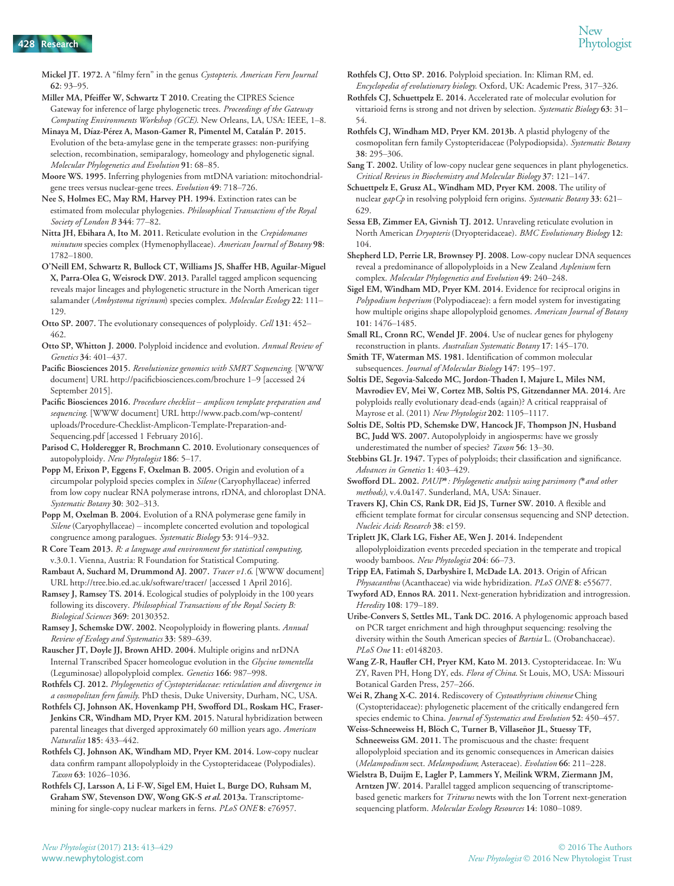Mickel JT. 1972. A "filmy fern" in the genus Cystopteris. American Fern Journal 62: 93–95.

- Miller MA, Pfeiffer W, Schwartz T 2010. Creating the CIPRES Science Gateway for inference of large phylogenetic trees. Proceedings of the Gateway Computing Environments Workshop (GCE). New Orleans, LA, USA: IEEE, 1–8.
- Minaya M, Díaz-Pérez A, Mason-Gamer R, Pimentel M, Catalán P. 2015. Evolution of the beta-amylase gene in the temperate grasses: non-purifying selection, recombination, semiparalogy, homeology and phylogenetic signal. Molecular Phylogenetics and Evolution 91: 68–85.
- Moore WS. 1995. Inferring phylogenies from mtDNA variation: mitochondrialgene trees versus nuclear-gene trees. Evolution 49: 718–726.

Nee S, Holmes EC, May RM, Harvey PH. 1994. Extinction rates can be estimated from molecular phylogenies. Philosophical Transactions of the Royal Society of London B 344: 77–82.

Nitta JH, Ebihara A, Ito M. 2011. Reticulate evolution in the Crepidomanes minutum species complex (Hymenophyllaceae). American Journal of Botany 98: 1782–1800.

O'Neill EM, Schwartz R, Bullock CT, Williams JS, Shaffer HB, Aguilar-Miguel X, Parra-Olea G, Weisrock DW. 2013. Parallel tagged amplicon sequencing reveals major lineages and phylogenetic structure in the North American tiger salamander (Ambystoma tigrinum) species complex. Molecular Ecology 22: 111-129.

- Otto SP. 2007. The evolutionary consequences of polyploidy. Cell 131: 452-462.
- Otto SP, Whitton J. 2000. Polyploid incidence and evolution. Annual Review of Genetics 34: 401–437.

Pacific Biosciences 2015. Revolutionize genomics with SMRT Sequencing. [WWW document] URL<http://pacificbiosciences.com/brochure> 1–9 [accessed 24 September 2015].

Pacific Biosciences 2016. Procedure checklist – amplicon template preparation and sequencing. [WWW document] URL [http://www.pacb.com/wp-content/](http://www.pacb.com/wp-content/uploads/Procedure-Checklist) [uploads/Procedure-Checklist-Amplicon-Template-Preparation-and-](http://www.pacb.com/wp-content/uploads/Procedure-Checklist)[Sequencing.pdf](http://www.pacb.com/wp-content/uploads/Procedure-Checklist) [accessed 1 February 2016].

Parisod C, Holderegger R, Brochmann C. 2010. Evolutionary consequences of autopolyploidy. New Phytologist 186: 5–17.

Popp M, Erixon P, Eggens F, Oxelman B. 2005. Origin and evolution of a circumpolar polyploid species complex in Silene (Caryophyllaceae) inferred from low copy nuclear RNA polymerase introns, rDNA, and chloroplast DNA. Systematic Botany 30: 302–313.

Popp M, Oxelman B. 2004. Evolution of a RNA polymerase gene family in Silene (Caryophyllaceae) – incomplete concerted evolution and topological congruence among paralogues. Systematic Biology 53: 914–932.

R Core Team 2013. R: a language and environment for statistical computing, v.3.0.1. Vienna, Austria: R Foundation for Statistical Computing.

Rambaut A, Suchard M, Drummond AJ. 2007. Tracer v1.6. [WWW document] URL<http://tree.bio.ed.ac.uk/software/tracer/> [accessed 1 April 2016].

Ramsey J, Ramsey TS. 2014. Ecological studies of polyploidy in the 100 years following its discovery. Philosophical Transactions of the Royal Society B: Biological Sciences 369: 20130352.

Ramsey J, Schemske DW. 2002. Neopolyploidy in flowering plants. Annual Review of Ecology and Systematics 33: 589–639.

Rauscher JT, Doyle JJ, Brown AHD. 2004. Multiple origins and nrDNA Internal Transcribed Spacer homeologue evolution in the Glycine tomentella (Leguminosae) allopolyploid complex. Genetics 166: 987–998.

Rothfels CJ. 2012. Phylogenetics of Cystopteridaceae: reticulation and divergence in a cosmopolitan fern family. PhD thesis, Duke University, Durham, NC, USA.

Rothfels CJ, Johnson AK, Hovenkamp PH, Swofford DL, Roskam HC, Fraser-Jenkins CR, Windham MD, Pryer KM. 2015. Natural hybridization between parental lineages that diverged approximately 60 million years ago. American Naturalist 185: 433–442.

Rothfels CJ, Johnson AK, Windham MD, Pryer KM. 2014. Low-copy nuclear data confirm rampant allopolyploidy in the Cystopteridaceae (Polypodiales). Taxon 63: 1026–1036.

Rothfels CJ, Larsson A, Li F-W, Sigel EM, Huiet L, Burge DO, Ruhsam M, Graham SW, Stevenson DW, Wong GK-S et al. 2013a. Transcriptomemining for single-copy nuclear markers in ferns. PLoS ONE 8: e76957.

Rothfels CJ, Otto SP. 2016. Polyploid speciation. In: Kliman RM, ed. Encyclopedia of evolutionary biology. Oxford, UK: Academic Press, 317–326.

- Rothfels CJ, Schuettpelz E. 2014. Accelerated rate of molecular evolution for vittarioid ferns is strong and not driven by selection. Systematic Biology 63: 31– 54.
- Rothfels CJ, Windham MD, Pryer KM. 2013b. A plastid phylogeny of the cosmopolitan fern family Cystopteridaceae (Polypodiopsida). Systematic Botany 38: 295–306.
- Sang T. 2002. Utility of low-copy nuclear gene sequences in plant phylogenetics. Critical Reviews in Biochemistry and Molecular Biology 37: 121–147.

Schuettpelz E, Grusz AL, Windham MD, Pryer KM. 2008. The utility of nuclear gapCp in resolving polyploid fern origins. Systematic Botany 33: 621-629.

Sessa EB, Zimmer EA, Givnish TJ. 2012. Unraveling reticulate evolution in North American Dryopteris (Dryopteridaceae). BMC Evolutionary Biology 12: 104.

Shepherd LD, Perrie LR, Brownsey PJ. 2008. Low-copy nuclear DNA sequences reveal a predominance of allopolyploids in a New Zealand Asplenium fern complex. Molecular Phylogenetics and Evolution 49: 240–248.

Sigel EM, Windham MD, Pryer KM. 2014. Evidence for reciprocal origins in Polypodium hesperium (Polypodiaceae): a fern model system for investigating how multiple origins shape allopolyploid genomes. American Journal of Botany 101: 1476–1485.

Small RL, Cronn RC, Wendel JF. 2004. Use of nuclear genes for phylogeny reconstruction in plants. Australian Systematic Botany 17: 145–170.

Smith TF, Waterman MS. 1981. Identification of common molecular subsequences. Journal of Molecular Biology 147: 195-197.

Soltis DE, Segovia-Salcedo MC, Jordon-Thaden I, Majure L, Miles NM, Mavrodiev EV, Mei W, Cortez MB, Soltis PS, Gitzendanner MA. 2014. Are polyploids really evolutionary dead-ends (again)? A critical reappraisal of Mayrose et al. (2011) New Phytologist 202: 1105–1117.

Soltis DE, Soltis PD, Schemske DW, Hancock JF, Thompson JN, Husband BC, Judd WS. 2007. Autopolyploidy in angiosperms: have we grossly underestimated the number of species? Taxon 56: 13–30.

- Stebbins GL Jr. 1947. Types of polyploids; their classification and significance. Advances in Genetics 1: 403–429.
- Swofford DL. 2002. PAUP\*: Phylogenetic analysis using parsimony (\* and other methods), v.4.0a147. Sunderland, MA, USA: Sinauer.

Travers KJ, Chin CS, Rank DR, Eid JS, Turner SW. 2010. A flexible and efficient template format for circular consensus sequencing and SNP detection. Nucleic Acids Research 38: e159.

Triplett JK, Clark LG, Fisher AE, Wen J. 2014. Independent allopolyploidization events preceded speciation in the temperate and tropical woody bamboos. New Phytologist 204: 66–73.

Tripp EA, Fatimah S, Darbyshire I, McDade LA. 2013. Origin of African Physacanthus (Acanthaceae) via wide hybridization. PLoS ONE 8: e55677.

Twyford AD, Ennos RA. 2011. Next-generation hybridization and introgression. Heredity 108: 179–189.

Uribe-Convers S, Settles ML, Tank DC. 2016. A phylogenomic approach based on PCR target enrichment and high throughput sequencing: resolving the diversity within the South American species of Bartsia L. (Orobanchaceae). PLoS One 11: e0148203.

Wang Z-R, Haufler CH, Pryer KM, Kato M. 2013. Cystopteridaceae. In: Wu ZY, Raven PH, Hong DY, eds. Flora of China. St Louis, MO, USA: Missouri Botanical Garden Press, 257–266.

Wei R, Zhang X-C. 2014. Rediscovery of Cystoathyrium chinense Ching (Cystopteridaceae): phylogenetic placement of the critically endangered fern species endemic to China. Journal of Systematics and Evolution 52: 450-457.

Weiss-Schneeweiss H, Blöch C, Turner B, Villaseñor JL, Stuessy TF, Schneeweiss GM. 2011. The promiscuous and the chaste: frequent allopolyploid speciation and its genomic consequences in American daisies (Melampodium sect. Melampodium; Asteraceae). Evolution 66: 211–228.

Wielstra B, Duijm E, Lagler P, Lammers Y, Meilink WRM, Ziermann JM, Arntzen JW. 2014. Parallel tagged amplicon sequencing of transcriptomebased genetic markers for *Triturus* newts with the Ion Torrent next-generation sequencing platform. Molecular Ecology Resources 14: 1080-1089.